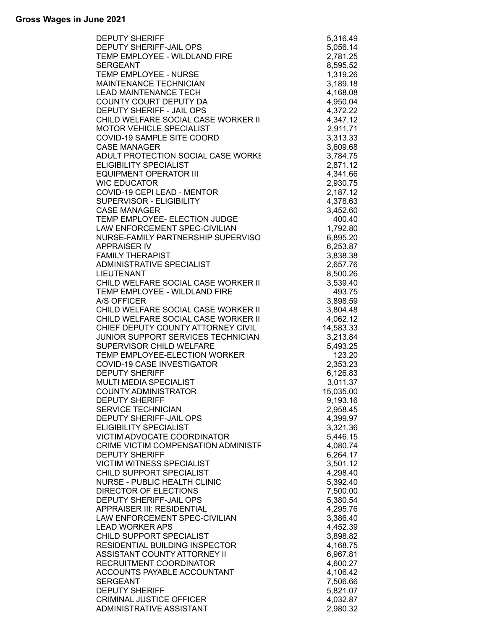| <b>DEPUTY SHERIFF</b>                | 5,316.49  |
|--------------------------------------|-----------|
| DEPUTY SHERIFF-JAIL OPS              | 5,056.14  |
| TEMP EMPLOYEE - WILDLAND FIRE        | 2,781.25  |
| <b>SERGEANT</b>                      | 8,595.52  |
| TEMP EMPLOYEE - NURSE                | 1,319.26  |
| MAINTENANCE TECHNICIAN               | 3,189.18  |
| <b>LEAD MAINTENANCE TECH</b>         | 4,168.08  |
| COUNTY COURT DEPUTY DA               | 4,950.04  |
| DEPUTY SHERIFF - JAIL OPS            | 4,372.22  |
|                                      |           |
| CHILD WELFARE SOCIAL CASE WORKER III | 4,347.12  |
| MOTOR VEHICLE SPECIALIST             | 2,911.71  |
| COVID-19 SAMPLE SITE COORD           | 3,313.33  |
| <b>CASE MANAGER</b>                  | 3,609.68  |
| ADULT PROTECTION SOCIAL CASE WORKE   | 3,784.75  |
| ELIGIBILITY SPECIALIST               | 2,871.12  |
| <b>EQUIPMENT OPERATOR III</b>        | 4,341.66  |
| <b>WIC EDUCATOR</b>                  | 2,930.75  |
| COVID-19 CEPI LEAD - MENTOR          | 2,187.12  |
| SUPERVISOR - ELIGIBILITY             | 4,378.63  |
| <b>CASE MANAGER</b>                  | 3,452.60  |
| TEMP EMPLOYEE- ELECTION JUDGE        | 400.40    |
| LAW ENFORCEMENT SPEC-CIVILIAN        | 1,792.80  |
| NURSE-FAMILY PARTNERSHIP SUPERVISO   | 6,895.20  |
| <b>APPRAISER IV</b>                  |           |
| <b>FAMILY THERAPIST</b>              | 6,253.87  |
|                                      | 3,838.38  |
| <b>ADMINISTRATIVE SPECIALIST</b>     | 2,657.76  |
| <b>LIEUTENANT</b>                    | 8,500.26  |
| CHILD WELFARE SOCIAL CASE WORKER II  | 3,539.40  |
| TEMP EMPLOYEE - WILDLAND FIRE        | 493.75    |
| A/S OFFICER                          | 3,898.59  |
| CHILD WELFARE SOCIAL CASE WORKER II  | 3,804.48  |
| CHILD WELFARE SOCIAL CASE WORKER III | 4,062.12  |
| CHIEF DEPUTY COUNTY ATTORNEY CIVIL   | 14,583.33 |
| JUNIOR SUPPORT SERVICES TECHNICIAN   | 3,213.84  |
| SUPERVISOR CHILD WELFARE             | 5,493.25  |
| TEMP EMPLOYEE-ELECTION WORKER        | 123.20    |
| COVID-19 CASE INVESTIGATOR           | 2,353.23  |
| <b>DEPUTY SHERIFF</b>                | 6,126.83  |
| <b>MULTI MEDIA SPECIALIST</b>        | 3,011.37  |
| <b>COUNTY ADMINISTRATOR</b>          | 15,035.00 |
| <b>DEPUTY SHERIFF</b>                | 9,193.16  |
| <b>SERVICE TECHNICIAN</b>            | 2,958.45  |
| DEPUTY SHERIFF-JAIL OPS              | 4,399.97  |
| <b>ELIGIBILITY SPECIALIST</b>        | 3,321.36  |
| <b>VICTIM ADVOCATE COORDINATOR</b>   | 5,446.15  |
| CRIME VICTIM COMPENSATION ADMINISTF  | 4,080.74  |
| <b>DEPUTY SHERIFF</b>                |           |
|                                      | 6,264.17  |
| <b>VICTIM WITNESS SPECIALIST</b>     | 3,501.12  |
| CHILD SUPPORT SPECIALIST             | 4,298.40  |
| <b>NURSE - PUBLIC HEALTH CLINIC</b>  | 5,392.40  |
| <b>DIRECTOR OF ELECTIONS</b>         | 7,500.00  |
| DEPUTY SHERIFF-JAIL OPS              | 5,380.54  |
| APPRAISER III: RESIDENTIAL           | 4,295.76  |
| LAW ENFORCEMENT SPEC-CIVILIAN        | 3,386.40  |
| <b>LEAD WORKER APS</b>               | 4,452.39  |
| CHILD SUPPORT SPECIALIST             | 3,898.82  |
| RESIDENTIAL BUILDING INSPECTOR       | 4,168.75  |
| ASSISTANT COUNTY ATTORNEY II         | 6,967.81  |
| RECRUITMENT COORDINATOR              | 4,600.27  |
| ACCOUNTS PAYABLE ACCOUNTANT          | 4,106.42  |
| <b>SERGEANT</b>                      | 7,506.66  |
| <b>DEPUTY SHERIFF</b>                |           |
|                                      | 5,821.07  |
| <b>CRIMINAL JUSTICE OFFICER</b>      | 4,032.87  |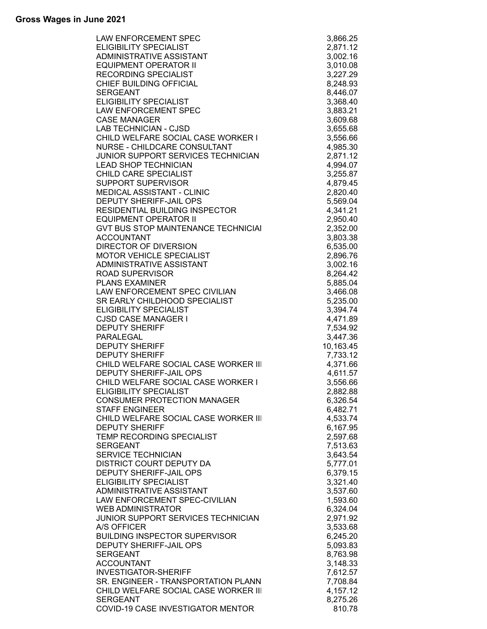| <b>LAW ENFORCEMENT SPEC</b>                | 3,866.25  |
|--------------------------------------------|-----------|
| <b>ELIGIBILITY SPECIALIST</b>              | 2,871.12  |
| ADMINISTRATIVE ASSISTANT                   | 3,002.16  |
| <b>EQUIPMENT OPERATOR II</b>               | 3,010.08  |
| <b>RECORDING SPECIALIST</b>                | 3,227.29  |
| CHIEF BUILDING OFFICIAL                    | 8,248.93  |
| <b>SERGEANT</b>                            | 8,446.07  |
| ELIGIBILITY SPECIALIST                     | 3,368.40  |
|                                            |           |
| LAW ENFORCEMENT SPEC                       | 3,883.21  |
| <b>CASE MANAGER</b>                        | 3,609.68  |
| <b>LAB TECHNICIAN - CJSD</b>               | 3,655.68  |
| CHILD WELFARE SOCIAL CASE WORKER I         | 3,556.66  |
| NURSE - CHILDCARE CONSULTANT               | 4,985.30  |
| JUNIOR SUPPORT SERVICES TECHNICIAN         | 2,871.12  |
| <b>LEAD SHOP TECHNICIAN</b>                | 4,994.07  |
| CHILD CARE SPECIALIST                      | 3,255.87  |
| SUPPORT SUPERVISOR                         | 4,879.45  |
| MEDICAL ASSISTANT - CLINIC                 | 2,820.40  |
| DEPUTY SHERIFF-JAIL OPS                    | 5,569.04  |
| RESIDENTIAL BUILDING INSPECTOR             | 4,341.21  |
| <b>EQUIPMENT OPERATOR II</b>               | 2,950.40  |
| <b>GVT BUS STOP MAINTENANCE TECHNICIAL</b> | 2,352.00  |
| <b>ACCOUNTANT</b>                          | 3,803.38  |
| DIRECTOR OF DIVERSION                      |           |
|                                            | 6,535.00  |
| <b>MOTOR VEHICLE SPECIALIST</b>            | 2,896.76  |
| ADMINISTRATIVE ASSISTANT                   | 3,002.16  |
| <b>ROAD SUPERVISOR</b>                     | 8,264.42  |
| <b>PLANS EXAMINER</b>                      | 5,885.04  |
| LAW ENFORCEMENT SPEC CIVILIAN              | 3,466.08  |
| SR EARLY CHILDHOOD SPECIALIST              | 5,235.00  |
| <b>ELIGIBILITY SPECIALIST</b>              | 3,394.74  |
| <b>CJSD CASE MANAGER I</b>                 | 4,471.89  |
|                                            |           |
| <b>DEPUTY SHERIFF</b>                      | 7,534.92  |
| PARALEGAL                                  | 3,447.36  |
| <b>DEPUTY SHERIFF</b>                      | 10,163.45 |
| <b>DEPUTY SHERIFF</b>                      | 7,733.12  |
| CHILD WELFARE SOCIAL CASE WORKER III       |           |
|                                            | 4,371.66  |
| <b>DEPUTY SHERIFF-JAIL OPS</b>             | 4,611.57  |
| CHILD WELFARE SOCIAL CASE WORKER I         | 3,556.66  |
| ELIGIBILITY SPECIALIST                     | 2,882.88  |
| <b>CONSUMER PROTECTION MANAGER</b>         | 6,326.54  |
| <b>STAFF ENGINEER</b>                      | 6,482.71  |
| CHILD WELFARE SOCIAL CASE WORKER III       | 4,533.74  |
| <b>DEPUTY SHERIFF</b>                      | 6,167.95  |
| TEMP RECORDING SPECIALIST                  | 2,597.68  |
| <b>SERGEANT</b>                            | 7,513.63  |
| SERVICE TECHNICIAN                         | 3,643.54  |
| DISTRICT COURT DEPUTY DA                   | 5,777.01  |
| <b>DEPUTY SHERIFF-JAIL OPS</b>             | 6,379.15  |
| ELIGIBILITY SPECIALIST                     | 3,321.40  |
| ADMINISTRATIVE ASSISTANT                   | 3,537.60  |
| LAW ENFORCEMENT SPEC-CIVILIAN              | 1,593.60  |
| <b>WEB ADMINISTRATOR</b>                   | 6,324.04  |
| JUNIOR SUPPORT SERVICES TECHNICIAN         | 2,971.92  |
| A/S OFFICER                                | 3,533.68  |
| <b>BUILDING INSPECTOR SUPERVISOR</b>       | 6,245.20  |
| <b>DEPUTY SHERIFF-JAIL OPS</b>             | 5,093.83  |
| <b>SERGEANT</b>                            | 8,763.98  |
| <b>ACCOUNTANT</b>                          | 3,148.33  |
| <b>INVESTIGATOR-SHERIFF</b>                | 7,612.57  |
| SR. ENGINEER - TRANSPORTATION PLANN        | 7,708.84  |
| CHILD WELFARE SOCIAL CASE WORKER III       | 4,157.12  |
| <b>SERGEANT</b>                            | 8,275.26  |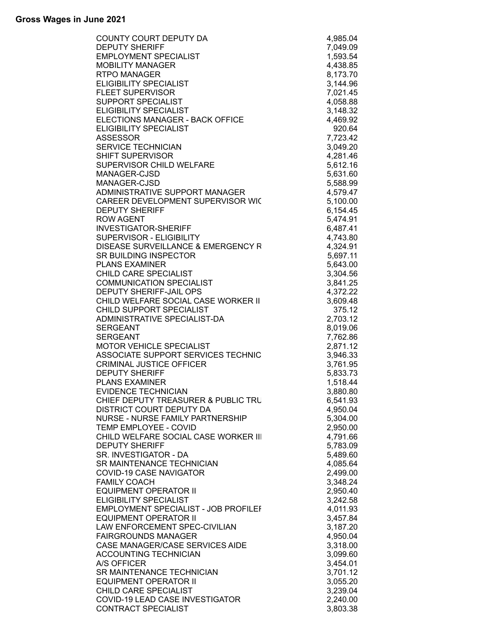| COUNTY COURT DEPUTY DA                                   | 4,985.04             |
|----------------------------------------------------------|----------------------|
| <b>DEPUTY SHERIFF</b>                                    | 7,049.09             |
| <b>EMPLOYMENT SPECIALIST</b>                             | 1,593.54             |
| <b>MOBILITY MANAGER</b>                                  | 4,438.85             |
| <b>RTPO MANAGER</b>                                      | 8,173.70             |
| <b>ELIGIBILITY SPECIALIST</b>                            | 3,144.96             |
| <b>FLEET SUPERVISOR</b>                                  | 7,021.45             |
| SUPPORT SPECIALIST                                       | 4,058.88             |
|                                                          |                      |
| <b>ELIGIBILITY SPECIALIST</b>                            | 3,148.32             |
| ELECTIONS MANAGER - BACK OFFICE                          | 4,469.92             |
| <b>ELIGIBILITY SPECIALIST</b>                            | 920.64               |
| <b>ASSESSOR</b>                                          | 7,723.42             |
| <b>SERVICE TECHNICIAN</b>                                | 3,049.20             |
| <b>SHIFT SUPERVISOR</b>                                  | 4,281.46             |
| SUPERVISOR CHILD WELFARE                                 | 5,612.16             |
| MANAGER-CJSD                                             | 5,631.60             |
| MANAGER-CJSD                                             | 5,588.99             |
| ADMINISTRATIVE SUPPORT MANAGER                           | 4,579.47             |
| CAREER DEVELOPMENT SUPERVISOR WIC                        | 5,100.00             |
| <b>DEPUTY SHERIFF</b>                                    | 6,154.45             |
| <b>ROW AGENT</b>                                         | 5,474.91             |
| <b>INVESTIGATOR-SHERIFF</b>                              | 6,487.41             |
| SUPERVISOR - ELIGIBILITY                                 | 4,743.80             |
| <b>DISEASE SURVEILLANCE &amp; EMERGENCY R</b>            |                      |
|                                                          | 4,324.91             |
| SR BUILDING INSPECTOR                                    | 5,697.11             |
| <b>PLANS EXAMINER</b>                                    | 5,643.00             |
| CHILD CARE SPECIALIST                                    | 3,304.56             |
| <b>COMMUNICATION SPECIALIST</b>                          | 3,841.25             |
| DEPUTY SHERIFF-JAIL OPS                                  | 4,372.22             |
| CHILD WELFARE SOCIAL CASE WORKER II                      | 3,609.48             |
| CHILD SUPPORT SPECIALIST                                 | 375.12               |
| ADMINISTRATIVE SPECIALIST-DA                             | 2,703.12             |
| <b>SERGEANT</b>                                          | 8,019.06             |
| <b>SERGEANT</b>                                          | 7,762.86             |
| <b>MOTOR VEHICLE SPECIALIST</b>                          | 2,871.12             |
| ASSOCIATE SUPPORT SERVICES TECHNIC                       | 3,946.33             |
| <b>CRIMINAL JUSTICE OFFICER</b>                          | 3,761.95             |
| <b>DEPUTY SHERIFF</b>                                    | 5,833.73             |
| <b>PLANS EXAMINER</b>                                    | 1,518.44             |
| EVIDENCE TECHNICIAN                                      | 3,880.80             |
| CHIEF DEPUTY TREASURER & PUBLIC TRU                      | 6,541.93             |
| DISTRICT COURT DEPUTY DA                                 | 4,950.04             |
| NURSE - NURSE FAMILY PARTNERSHIP                         | 5,304.00             |
| TEMP EMPLOYEE - COVID                                    | 2,950.00             |
| CHILD WELFARE SOCIAL CASE WORKER III                     | 4,791.66             |
| <b>DEPUTY SHERIFF</b>                                    |                      |
|                                                          | 5,783.09             |
| SR. INVESTIGATOR - DA                                    | 5,489.60             |
| SR MAINTENANCE TECHNICIAN                                | 4,085.64             |
| <b>COVID-19 CASE NAVIGATOR</b>                           | 2,499.00             |
| <b>FAMILY COACH</b>                                      | 3,348.24             |
| <b>EQUIPMENT OPERATOR II</b>                             | 2,950.40             |
| <b>ELIGIBILITY SPECIALIST</b>                            |                      |
| EMPLOYMENT SPECIALIST - JOB PROFILEI                     | 3,242.58             |
|                                                          | 4,011.93             |
| <b>EQUIPMENT OPERATOR II</b>                             | 3,457.84             |
| LAW ENFORCEMENT SPEC-CIVILIAN                            | 3,187.20             |
| <b>FAIRGROUNDS MANAGER</b>                               | 4,950.04             |
| CASE MANAGER/CASE SERVICES AIDE                          | 3,318.00             |
| <b>ACCOUNTING TECHNICIAN</b>                             | 3,099.60             |
| A/S OFFICER                                              | 3,454.01             |
| SR MAINTENANCE TECHNICIAN                                | 3,701.12             |
|                                                          |                      |
| <b>EQUIPMENT OPERATOR II</b>                             | 3,055.20             |
| CHILD CARE SPECIALIST<br>COVID-19 LEAD CASE INVESTIGATOR | 3,239.04<br>2,240.00 |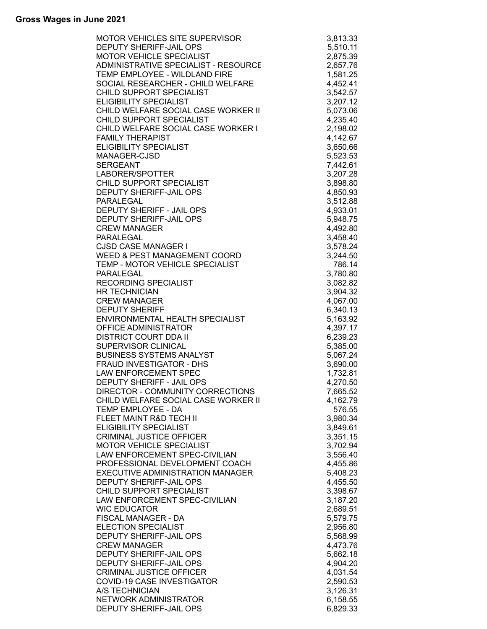| RVISOR<br>- RESOURCE<br>FIRE<br>WELFARE<br>: WORKER I<br>:<br>WORKER I<br>CORD<br>DALIST<br>CIALIST<br><b>MOTOR VEHICLE SPECIALIST</b><br>2,875.39<br>ADMINISTRATIVE SPECIALIST - RESOURCE<br>2,657.76<br>TEMP EMPLOYEE - WILDLAND FIRE<br>1,581.25<br>SOCIAL RESEARCHER - CHILD WELFARE<br>4,452.41<br>CHILD SUPPORT SPECIALIST<br>3,542.57<br>3,207.12<br>CHILD WELFARE SOCIAL CASE WORKER II<br>5,073.06<br>CHILD SUPPORT SPECIALIST<br>4,235.40<br>2,198.02<br>4,142.67<br>3,650.66<br>5,523.53<br>7,442.61<br>3,207.28<br>CHILD SUPPORT SPECIALIST<br>3,898.80<br>4,850.93<br>3,512.88<br>4,933.01<br>5,948.75<br>4,492.80<br>3,458.40<br><b>CJSD CASE MANAGER I</b><br>3,578.24<br>3,244.50<br>TEMP - MOTOR VEHICLE SPECIALIST<br>786.14<br>3,780.80<br>3,082.82<br><b>HR TECHNICIAN</b><br>3,904.32<br><b>CREW MANAGER</b><br>4,067.00<br><b>DEPUTY SHERIFF</b><br>6,340.13<br>ENVIRONMENTAL HEALTH SPECIALIST<br>5,163.92<br>OFFICE ADMINISTRATOR<br>4,397.17<br><b>DISTRICT COURT DDA II</b><br>6,239.23<br>SUPERVISOR CLINICAL<br>5,385.00<br><b>BUSINESS SYSTEMS ANALYST</b><br>5,067.24<br>FRAUD INVESTIGATOR - DHS<br>3,690.00<br>LAW ENFORCEMENT SPEC<br>1,732.81<br>DEPUTY SHERIFF - JAIL OPS<br>4,270.50<br>DIRECTOR - COMMUNITY CORRECTIONS<br>7,665.52<br>CHILD WELFARE SOCIAL CASE WORKER III<br>4,162.79<br>TEMP EMPLOYEE - DA<br>576.55<br>FLEET MAINT R&D TECH II<br>3,980.34<br><b>ELIGIBILITY SPECIALIST</b><br>3,849.61<br><b>CRIMINAL JUSTICE OFFICER</b><br>3,351.15<br><b>MOTOR VEHICLE SPECIALIST</b><br>3,702.94<br>LAW ENFORCEMENT SPEC-CIVILIAN<br>3,556.40<br>PROFESSIONAL DEVELOPMENT COACH<br>4,455.86<br>EXECUTIVE ADMINISTRATION MANAGER<br>5,408.23<br>DEPUTY SHERIFF-JAIL OPS<br>4,455.50<br>CHILD SUPPORT SPECIALIST<br>3,398.67<br>LAW ENFORCEMENT SPEC-CIVILIAN<br>3,187.20<br><b>WIC EDUCATOR</b><br>2,689.51<br>FISCAL MANAGER - DA<br>5,579.75<br><b>ELECTION SPECIALIST</b><br>2,956.80<br>DEPUTY SHERIFF-JAIL OPS<br>5,568.99<br><b>CREW MANAGER</b><br>4,473.76<br>DEPUTY SHERIFF-JAIL OPS<br>5,662.18<br>DEPUTY SHERIFF-JAIL OPS<br>4,904.20<br><b>CRIMINAL JUSTICE OFFICER</b><br>4,031.54<br>COVID-19 CASE INVESTIGATOR<br>2,590.53<br>3,126.31<br>A/S TECHNICIAN<br>NETWORK ADMINISTRATOR<br>6,158.55<br>6,829.33 | <b>MOTOR VEHICLES SITE SUPERVISOR</b>   | 3,813.33 |
|-----------------------------------------------------------------------------------------------------------------------------------------------------------------------------------------------------------------------------------------------------------------------------------------------------------------------------------------------------------------------------------------------------------------------------------------------------------------------------------------------------------------------------------------------------------------------------------------------------------------------------------------------------------------------------------------------------------------------------------------------------------------------------------------------------------------------------------------------------------------------------------------------------------------------------------------------------------------------------------------------------------------------------------------------------------------------------------------------------------------------------------------------------------------------------------------------------------------------------------------------------------------------------------------------------------------------------------------------------------------------------------------------------------------------------------------------------------------------------------------------------------------------------------------------------------------------------------------------------------------------------------------------------------------------------------------------------------------------------------------------------------------------------------------------------------------------------------------------------------------------------------------------------------------------------------------------------------------------------------------------------------------------------------------------------------------------------------------------------------------------------------------------------------------------------------------------------------------------------------------------------------------------|-----------------------------------------|----------|
|                                                                                                                                                                                                                                                                                                                                                                                                                                                                                                                                                                                                                                                                                                                                                                                                                                                                                                                                                                                                                                                                                                                                                                                                                                                                                                                                                                                                                                                                                                                                                                                                                                                                                                                                                                                                                                                                                                                                                                                                                                                                                                                                                                                                                                                                       | <b>DEPUTY SHERIFF-JAIL OPS</b>          | 5,510.11 |
|                                                                                                                                                                                                                                                                                                                                                                                                                                                                                                                                                                                                                                                                                                                                                                                                                                                                                                                                                                                                                                                                                                                                                                                                                                                                                                                                                                                                                                                                                                                                                                                                                                                                                                                                                                                                                                                                                                                                                                                                                                                                                                                                                                                                                                                                       |                                         |          |
|                                                                                                                                                                                                                                                                                                                                                                                                                                                                                                                                                                                                                                                                                                                                                                                                                                                                                                                                                                                                                                                                                                                                                                                                                                                                                                                                                                                                                                                                                                                                                                                                                                                                                                                                                                                                                                                                                                                                                                                                                                                                                                                                                                                                                                                                       |                                         |          |
|                                                                                                                                                                                                                                                                                                                                                                                                                                                                                                                                                                                                                                                                                                                                                                                                                                                                                                                                                                                                                                                                                                                                                                                                                                                                                                                                                                                                                                                                                                                                                                                                                                                                                                                                                                                                                                                                                                                                                                                                                                                                                                                                                                                                                                                                       |                                         |          |
|                                                                                                                                                                                                                                                                                                                                                                                                                                                                                                                                                                                                                                                                                                                                                                                                                                                                                                                                                                                                                                                                                                                                                                                                                                                                                                                                                                                                                                                                                                                                                                                                                                                                                                                                                                                                                                                                                                                                                                                                                                                                                                                                                                                                                                                                       |                                         |          |
|                                                                                                                                                                                                                                                                                                                                                                                                                                                                                                                                                                                                                                                                                                                                                                                                                                                                                                                                                                                                                                                                                                                                                                                                                                                                                                                                                                                                                                                                                                                                                                                                                                                                                                                                                                                                                                                                                                                                                                                                                                                                                                                                                                                                                                                                       |                                         |          |
|                                                                                                                                                                                                                                                                                                                                                                                                                                                                                                                                                                                                                                                                                                                                                                                                                                                                                                                                                                                                                                                                                                                                                                                                                                                                                                                                                                                                                                                                                                                                                                                                                                                                                                                                                                                                                                                                                                                                                                                                                                                                                                                                                                                                                                                                       | <b>ELIGIBILITY SPECIALIST</b>           |          |
|                                                                                                                                                                                                                                                                                                                                                                                                                                                                                                                                                                                                                                                                                                                                                                                                                                                                                                                                                                                                                                                                                                                                                                                                                                                                                                                                                                                                                                                                                                                                                                                                                                                                                                                                                                                                                                                                                                                                                                                                                                                                                                                                                                                                                                                                       |                                         |          |
|                                                                                                                                                                                                                                                                                                                                                                                                                                                                                                                                                                                                                                                                                                                                                                                                                                                                                                                                                                                                                                                                                                                                                                                                                                                                                                                                                                                                                                                                                                                                                                                                                                                                                                                                                                                                                                                                                                                                                                                                                                                                                                                                                                                                                                                                       |                                         |          |
|                                                                                                                                                                                                                                                                                                                                                                                                                                                                                                                                                                                                                                                                                                                                                                                                                                                                                                                                                                                                                                                                                                                                                                                                                                                                                                                                                                                                                                                                                                                                                                                                                                                                                                                                                                                                                                                                                                                                                                                                                                                                                                                                                                                                                                                                       | CHILD WELFARE SOCIAL CASE WORKER I      |          |
|                                                                                                                                                                                                                                                                                                                                                                                                                                                                                                                                                                                                                                                                                                                                                                                                                                                                                                                                                                                                                                                                                                                                                                                                                                                                                                                                                                                                                                                                                                                                                                                                                                                                                                                                                                                                                                                                                                                                                                                                                                                                                                                                                                                                                                                                       | <b>FAMILY THERAPIST</b>                 |          |
|                                                                                                                                                                                                                                                                                                                                                                                                                                                                                                                                                                                                                                                                                                                                                                                                                                                                                                                                                                                                                                                                                                                                                                                                                                                                                                                                                                                                                                                                                                                                                                                                                                                                                                                                                                                                                                                                                                                                                                                                                                                                                                                                                                                                                                                                       | <b>ELIGIBILITY SPECIALIST</b>           |          |
|                                                                                                                                                                                                                                                                                                                                                                                                                                                                                                                                                                                                                                                                                                                                                                                                                                                                                                                                                                                                                                                                                                                                                                                                                                                                                                                                                                                                                                                                                                                                                                                                                                                                                                                                                                                                                                                                                                                                                                                                                                                                                                                                                                                                                                                                       | MANAGER-CJSD                            |          |
|                                                                                                                                                                                                                                                                                                                                                                                                                                                                                                                                                                                                                                                                                                                                                                                                                                                                                                                                                                                                                                                                                                                                                                                                                                                                                                                                                                                                                                                                                                                                                                                                                                                                                                                                                                                                                                                                                                                                                                                                                                                                                                                                                                                                                                                                       | <b>SERGEANT</b>                         |          |
|                                                                                                                                                                                                                                                                                                                                                                                                                                                                                                                                                                                                                                                                                                                                                                                                                                                                                                                                                                                                                                                                                                                                                                                                                                                                                                                                                                                                                                                                                                                                                                                                                                                                                                                                                                                                                                                                                                                                                                                                                                                                                                                                                                                                                                                                       | LABORER/SPOTTER                         |          |
|                                                                                                                                                                                                                                                                                                                                                                                                                                                                                                                                                                                                                                                                                                                                                                                                                                                                                                                                                                                                                                                                                                                                                                                                                                                                                                                                                                                                                                                                                                                                                                                                                                                                                                                                                                                                                                                                                                                                                                                                                                                                                                                                                                                                                                                                       |                                         |          |
|                                                                                                                                                                                                                                                                                                                                                                                                                                                                                                                                                                                                                                                                                                                                                                                                                                                                                                                                                                                                                                                                                                                                                                                                                                                                                                                                                                                                                                                                                                                                                                                                                                                                                                                                                                                                                                                                                                                                                                                                                                                                                                                                                                                                                                                                       | <b>DEPUTY SHERIFF-JAIL OPS</b>          |          |
|                                                                                                                                                                                                                                                                                                                                                                                                                                                                                                                                                                                                                                                                                                                                                                                                                                                                                                                                                                                                                                                                                                                                                                                                                                                                                                                                                                                                                                                                                                                                                                                                                                                                                                                                                                                                                                                                                                                                                                                                                                                                                                                                                                                                                                                                       | <b>PARALEGAL</b>                        |          |
|                                                                                                                                                                                                                                                                                                                                                                                                                                                                                                                                                                                                                                                                                                                                                                                                                                                                                                                                                                                                                                                                                                                                                                                                                                                                                                                                                                                                                                                                                                                                                                                                                                                                                                                                                                                                                                                                                                                                                                                                                                                                                                                                                                                                                                                                       | DEPUTY SHERIFF - JAIL OPS               |          |
|                                                                                                                                                                                                                                                                                                                                                                                                                                                                                                                                                                                                                                                                                                                                                                                                                                                                                                                                                                                                                                                                                                                                                                                                                                                                                                                                                                                                                                                                                                                                                                                                                                                                                                                                                                                                                                                                                                                                                                                                                                                                                                                                                                                                                                                                       | <b>DEPUTY SHERIFF-JAIL OPS</b>          |          |
|                                                                                                                                                                                                                                                                                                                                                                                                                                                                                                                                                                                                                                                                                                                                                                                                                                                                                                                                                                                                                                                                                                                                                                                                                                                                                                                                                                                                                                                                                                                                                                                                                                                                                                                                                                                                                                                                                                                                                                                                                                                                                                                                                                                                                                                                       | <b>CREW MANAGER</b>                     |          |
|                                                                                                                                                                                                                                                                                                                                                                                                                                                                                                                                                                                                                                                                                                                                                                                                                                                                                                                                                                                                                                                                                                                                                                                                                                                                                                                                                                                                                                                                                                                                                                                                                                                                                                                                                                                                                                                                                                                                                                                                                                                                                                                                                                                                                                                                       | <b>PARALEGAL</b>                        |          |
|                                                                                                                                                                                                                                                                                                                                                                                                                                                                                                                                                                                                                                                                                                                                                                                                                                                                                                                                                                                                                                                                                                                                                                                                                                                                                                                                                                                                                                                                                                                                                                                                                                                                                                                                                                                                                                                                                                                                                                                                                                                                                                                                                                                                                                                                       |                                         |          |
|                                                                                                                                                                                                                                                                                                                                                                                                                                                                                                                                                                                                                                                                                                                                                                                                                                                                                                                                                                                                                                                                                                                                                                                                                                                                                                                                                                                                                                                                                                                                                                                                                                                                                                                                                                                                                                                                                                                                                                                                                                                                                                                                                                                                                                                                       | <b>WEED &amp; PEST MANAGEMENT COORD</b> |          |
|                                                                                                                                                                                                                                                                                                                                                                                                                                                                                                                                                                                                                                                                                                                                                                                                                                                                                                                                                                                                                                                                                                                                                                                                                                                                                                                                                                                                                                                                                                                                                                                                                                                                                                                                                                                                                                                                                                                                                                                                                                                                                                                                                                                                                                                                       |                                         |          |
|                                                                                                                                                                                                                                                                                                                                                                                                                                                                                                                                                                                                                                                                                                                                                                                                                                                                                                                                                                                                                                                                                                                                                                                                                                                                                                                                                                                                                                                                                                                                                                                                                                                                                                                                                                                                                                                                                                                                                                                                                                                                                                                                                                                                                                                                       | PARALEGAL                               |          |
|                                                                                                                                                                                                                                                                                                                                                                                                                                                                                                                                                                                                                                                                                                                                                                                                                                                                                                                                                                                                                                                                                                                                                                                                                                                                                                                                                                                                                                                                                                                                                                                                                                                                                                                                                                                                                                                                                                                                                                                                                                                                                                                                                                                                                                                                       | <b>RECORDING SPECIALIST</b>             |          |
|                                                                                                                                                                                                                                                                                                                                                                                                                                                                                                                                                                                                                                                                                                                                                                                                                                                                                                                                                                                                                                                                                                                                                                                                                                                                                                                                                                                                                                                                                                                                                                                                                                                                                                                                                                                                                                                                                                                                                                                                                                                                                                                                                                                                                                                                       |                                         |          |
|                                                                                                                                                                                                                                                                                                                                                                                                                                                                                                                                                                                                                                                                                                                                                                                                                                                                                                                                                                                                                                                                                                                                                                                                                                                                                                                                                                                                                                                                                                                                                                                                                                                                                                                                                                                                                                                                                                                                                                                                                                                                                                                                                                                                                                                                       |                                         |          |
|                                                                                                                                                                                                                                                                                                                                                                                                                                                                                                                                                                                                                                                                                                                                                                                                                                                                                                                                                                                                                                                                                                                                                                                                                                                                                                                                                                                                                                                                                                                                                                                                                                                                                                                                                                                                                                                                                                                                                                                                                                                                                                                                                                                                                                                                       |                                         |          |
|                                                                                                                                                                                                                                                                                                                                                                                                                                                                                                                                                                                                                                                                                                                                                                                                                                                                                                                                                                                                                                                                                                                                                                                                                                                                                                                                                                                                                                                                                                                                                                                                                                                                                                                                                                                                                                                                                                                                                                                                                                                                                                                                                                                                                                                                       |                                         |          |
|                                                                                                                                                                                                                                                                                                                                                                                                                                                                                                                                                                                                                                                                                                                                                                                                                                                                                                                                                                                                                                                                                                                                                                                                                                                                                                                                                                                                                                                                                                                                                                                                                                                                                                                                                                                                                                                                                                                                                                                                                                                                                                                                                                                                                                                                       |                                         |          |
|                                                                                                                                                                                                                                                                                                                                                                                                                                                                                                                                                                                                                                                                                                                                                                                                                                                                                                                                                                                                                                                                                                                                                                                                                                                                                                                                                                                                                                                                                                                                                                                                                                                                                                                                                                                                                                                                                                                                                                                                                                                                                                                                                                                                                                                                       |                                         |          |
|                                                                                                                                                                                                                                                                                                                                                                                                                                                                                                                                                                                                                                                                                                                                                                                                                                                                                                                                                                                                                                                                                                                                                                                                                                                                                                                                                                                                                                                                                                                                                                                                                                                                                                                                                                                                                                                                                                                                                                                                                                                                                                                                                                                                                                                                       |                                         |          |
|                                                                                                                                                                                                                                                                                                                                                                                                                                                                                                                                                                                                                                                                                                                                                                                                                                                                                                                                                                                                                                                                                                                                                                                                                                                                                                                                                                                                                                                                                                                                                                                                                                                                                                                                                                                                                                                                                                                                                                                                                                                                                                                                                                                                                                                                       |                                         |          |
|                                                                                                                                                                                                                                                                                                                                                                                                                                                                                                                                                                                                                                                                                                                                                                                                                                                                                                                                                                                                                                                                                                                                                                                                                                                                                                                                                                                                                                                                                                                                                                                                                                                                                                                                                                                                                                                                                                                                                                                                                                                                                                                                                                                                                                                                       |                                         |          |
|                                                                                                                                                                                                                                                                                                                                                                                                                                                                                                                                                                                                                                                                                                                                                                                                                                                                                                                                                                                                                                                                                                                                                                                                                                                                                                                                                                                                                                                                                                                                                                                                                                                                                                                                                                                                                                                                                                                                                                                                                                                                                                                                                                                                                                                                       |                                         |          |
|                                                                                                                                                                                                                                                                                                                                                                                                                                                                                                                                                                                                                                                                                                                                                                                                                                                                                                                                                                                                                                                                                                                                                                                                                                                                                                                                                                                                                                                                                                                                                                                                                                                                                                                                                                                                                                                                                                                                                                                                                                                                                                                                                                                                                                                                       |                                         |          |
|                                                                                                                                                                                                                                                                                                                                                                                                                                                                                                                                                                                                                                                                                                                                                                                                                                                                                                                                                                                                                                                                                                                                                                                                                                                                                                                                                                                                                                                                                                                                                                                                                                                                                                                                                                                                                                                                                                                                                                                                                                                                                                                                                                                                                                                                       |                                         |          |
|                                                                                                                                                                                                                                                                                                                                                                                                                                                                                                                                                                                                                                                                                                                                                                                                                                                                                                                                                                                                                                                                                                                                                                                                                                                                                                                                                                                                                                                                                                                                                                                                                                                                                                                                                                                                                                                                                                                                                                                                                                                                                                                                                                                                                                                                       |                                         |          |
|                                                                                                                                                                                                                                                                                                                                                                                                                                                                                                                                                                                                                                                                                                                                                                                                                                                                                                                                                                                                                                                                                                                                                                                                                                                                                                                                                                                                                                                                                                                                                                                                                                                                                                                                                                                                                                                                                                                                                                                                                                                                                                                                                                                                                                                                       |                                         |          |
|                                                                                                                                                                                                                                                                                                                                                                                                                                                                                                                                                                                                                                                                                                                                                                                                                                                                                                                                                                                                                                                                                                                                                                                                                                                                                                                                                                                                                                                                                                                                                                                                                                                                                                                                                                                                                                                                                                                                                                                                                                                                                                                                                                                                                                                                       |                                         |          |
|                                                                                                                                                                                                                                                                                                                                                                                                                                                                                                                                                                                                                                                                                                                                                                                                                                                                                                                                                                                                                                                                                                                                                                                                                                                                                                                                                                                                                                                                                                                                                                                                                                                                                                                                                                                                                                                                                                                                                                                                                                                                                                                                                                                                                                                                       |                                         |          |
|                                                                                                                                                                                                                                                                                                                                                                                                                                                                                                                                                                                                                                                                                                                                                                                                                                                                                                                                                                                                                                                                                                                                                                                                                                                                                                                                                                                                                                                                                                                                                                                                                                                                                                                                                                                                                                                                                                                                                                                                                                                                                                                                                                                                                                                                       |                                         |          |
|                                                                                                                                                                                                                                                                                                                                                                                                                                                                                                                                                                                                                                                                                                                                                                                                                                                                                                                                                                                                                                                                                                                                                                                                                                                                                                                                                                                                                                                                                                                                                                                                                                                                                                                                                                                                                                                                                                                                                                                                                                                                                                                                                                                                                                                                       |                                         |          |
|                                                                                                                                                                                                                                                                                                                                                                                                                                                                                                                                                                                                                                                                                                                                                                                                                                                                                                                                                                                                                                                                                                                                                                                                                                                                                                                                                                                                                                                                                                                                                                                                                                                                                                                                                                                                                                                                                                                                                                                                                                                                                                                                                                                                                                                                       |                                         |          |
|                                                                                                                                                                                                                                                                                                                                                                                                                                                                                                                                                                                                                                                                                                                                                                                                                                                                                                                                                                                                                                                                                                                                                                                                                                                                                                                                                                                                                                                                                                                                                                                                                                                                                                                                                                                                                                                                                                                                                                                                                                                                                                                                                                                                                                                                       |                                         |          |
|                                                                                                                                                                                                                                                                                                                                                                                                                                                                                                                                                                                                                                                                                                                                                                                                                                                                                                                                                                                                                                                                                                                                                                                                                                                                                                                                                                                                                                                                                                                                                                                                                                                                                                                                                                                                                                                                                                                                                                                                                                                                                                                                                                                                                                                                       |                                         |          |
|                                                                                                                                                                                                                                                                                                                                                                                                                                                                                                                                                                                                                                                                                                                                                                                                                                                                                                                                                                                                                                                                                                                                                                                                                                                                                                                                                                                                                                                                                                                                                                                                                                                                                                                                                                                                                                                                                                                                                                                                                                                                                                                                                                                                                                                                       |                                         |          |
|                                                                                                                                                                                                                                                                                                                                                                                                                                                                                                                                                                                                                                                                                                                                                                                                                                                                                                                                                                                                                                                                                                                                                                                                                                                                                                                                                                                                                                                                                                                                                                                                                                                                                                                                                                                                                                                                                                                                                                                                                                                                                                                                                                                                                                                                       |                                         |          |
|                                                                                                                                                                                                                                                                                                                                                                                                                                                                                                                                                                                                                                                                                                                                                                                                                                                                                                                                                                                                                                                                                                                                                                                                                                                                                                                                                                                                                                                                                                                                                                                                                                                                                                                                                                                                                                                                                                                                                                                                                                                                                                                                                                                                                                                                       |                                         |          |
|                                                                                                                                                                                                                                                                                                                                                                                                                                                                                                                                                                                                                                                                                                                                                                                                                                                                                                                                                                                                                                                                                                                                                                                                                                                                                                                                                                                                                                                                                                                                                                                                                                                                                                                                                                                                                                                                                                                                                                                                                                                                                                                                                                                                                                                                       |                                         |          |
|                                                                                                                                                                                                                                                                                                                                                                                                                                                                                                                                                                                                                                                                                                                                                                                                                                                                                                                                                                                                                                                                                                                                                                                                                                                                                                                                                                                                                                                                                                                                                                                                                                                                                                                                                                                                                                                                                                                                                                                                                                                                                                                                                                                                                                                                       |                                         |          |
|                                                                                                                                                                                                                                                                                                                                                                                                                                                                                                                                                                                                                                                                                                                                                                                                                                                                                                                                                                                                                                                                                                                                                                                                                                                                                                                                                                                                                                                                                                                                                                                                                                                                                                                                                                                                                                                                                                                                                                                                                                                                                                                                                                                                                                                                       |                                         |          |
|                                                                                                                                                                                                                                                                                                                                                                                                                                                                                                                                                                                                                                                                                                                                                                                                                                                                                                                                                                                                                                                                                                                                                                                                                                                                                                                                                                                                                                                                                                                                                                                                                                                                                                                                                                                                                                                                                                                                                                                                                                                                                                                                                                                                                                                                       |                                         |          |
|                                                                                                                                                                                                                                                                                                                                                                                                                                                                                                                                                                                                                                                                                                                                                                                                                                                                                                                                                                                                                                                                                                                                                                                                                                                                                                                                                                                                                                                                                                                                                                                                                                                                                                                                                                                                                                                                                                                                                                                                                                                                                                                                                                                                                                                                       |                                         |          |
|                                                                                                                                                                                                                                                                                                                                                                                                                                                                                                                                                                                                                                                                                                                                                                                                                                                                                                                                                                                                                                                                                                                                                                                                                                                                                                                                                                                                                                                                                                                                                                                                                                                                                                                                                                                                                                                                                                                                                                                                                                                                                                                                                                                                                                                                       |                                         |          |
|                                                                                                                                                                                                                                                                                                                                                                                                                                                                                                                                                                                                                                                                                                                                                                                                                                                                                                                                                                                                                                                                                                                                                                                                                                                                                                                                                                                                                                                                                                                                                                                                                                                                                                                                                                                                                                                                                                                                                                                                                                                                                                                                                                                                                                                                       |                                         |          |
|                                                                                                                                                                                                                                                                                                                                                                                                                                                                                                                                                                                                                                                                                                                                                                                                                                                                                                                                                                                                                                                                                                                                                                                                                                                                                                                                                                                                                                                                                                                                                                                                                                                                                                                                                                                                                                                                                                                                                                                                                                                                                                                                                                                                                                                                       |                                         |          |
|                                                                                                                                                                                                                                                                                                                                                                                                                                                                                                                                                                                                                                                                                                                                                                                                                                                                                                                                                                                                                                                                                                                                                                                                                                                                                                                                                                                                                                                                                                                                                                                                                                                                                                                                                                                                                                                                                                                                                                                                                                                                                                                                                                                                                                                                       |                                         |          |
|                                                                                                                                                                                                                                                                                                                                                                                                                                                                                                                                                                                                                                                                                                                                                                                                                                                                                                                                                                                                                                                                                                                                                                                                                                                                                                                                                                                                                                                                                                                                                                                                                                                                                                                                                                                                                                                                                                                                                                                                                                                                                                                                                                                                                                                                       |                                         |          |
|                                                                                                                                                                                                                                                                                                                                                                                                                                                                                                                                                                                                                                                                                                                                                                                                                                                                                                                                                                                                                                                                                                                                                                                                                                                                                                                                                                                                                                                                                                                                                                                                                                                                                                                                                                                                                                                                                                                                                                                                                                                                                                                                                                                                                                                                       | DEPUTY SHERIFF-JAIL OPS                 |          |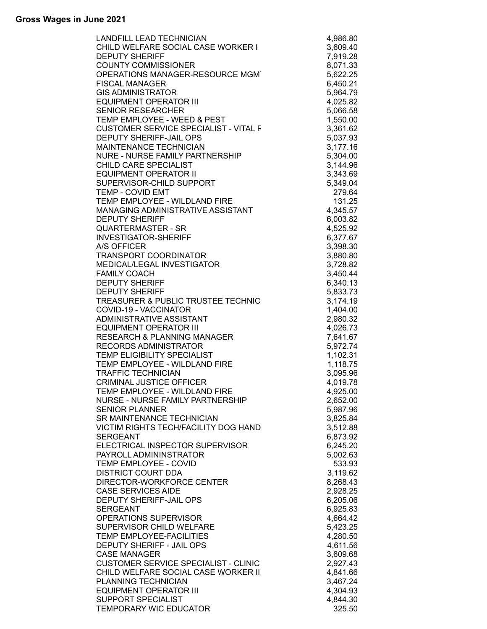| RKER I<br>E MGM<br>VITAL F<br>IP<br>:<br>:<br>:<br>STANT<br>RECHNIC<br>?<br>=<br><b>LANDFILL LEAD TECHNICIAN</b> | 4,986.80 |
|------------------------------------------------------------------------------------------------------------------|----------|
| CHILD WELFARE SOCIAL CASE WORKER I                                                                               | 3,609.40 |
| <b>DEPUTY SHERIFF</b>                                                                                            | 7,919.28 |
| <b>COUNTY COMMISSIONER</b>                                                                                       | 8,071.33 |
| OPERATIONS MANAGER-RESOURCE MGM                                                                                  | 5,622.25 |
| <b>FISCAL MANAGER</b>                                                                                            |          |
|                                                                                                                  | 6,450.21 |
| <b>GIS ADMINISTRATOR</b>                                                                                         | 5,964.79 |
| <b>EQUIPMENT OPERATOR III</b>                                                                                    | 4,025.82 |
| <b>SENIOR RESEARCHER</b>                                                                                         | 5,066.58 |
| TEMP EMPLOYEE - WEED & PEST                                                                                      | 1,550.00 |
| <b>CUSTOMER SERVICE SPECIALIST - VITAL F</b>                                                                     | 3,361.62 |
| DEPUTY SHERIFF-JAIL OPS                                                                                          | 5,037.93 |
| <b>MAINTENANCE TECHNICIAN</b>                                                                                    | 3,177.16 |
|                                                                                                                  |          |
| NURE - NURSE FAMILY PARTNERSHIP                                                                                  | 5,304.00 |
| CHILD CARE SPECIALIST                                                                                            | 3,144.96 |
| <b>EQUIPMENT OPERATOR II</b>                                                                                     | 3,343.69 |
| SUPERVISOR-CHILD SUPPORT                                                                                         | 5,349.04 |
| TEMP - COVID EMT                                                                                                 | 279.64   |
| TEMP EMPLOYEE - WILDLAND FIRE                                                                                    | 131.25   |
| MANAGING ADMINISTRATIVE ASSISTANT                                                                                | 4,345.57 |
| <b>DEPUTY SHERIFF</b>                                                                                            | 6,003.82 |
|                                                                                                                  |          |
| <b>QUARTERMASTER - SR</b>                                                                                        | 4,525.92 |
| <b>INVESTIGATOR-SHERIFF</b>                                                                                      | 6,377.67 |
| A/S OFFICER                                                                                                      | 3,398.30 |
| <b>TRANSPORT COORDINATOR</b>                                                                                     | 3,880.80 |
| MEDICAL/LEGAL INVESTIGATOR                                                                                       | 3,728.82 |
| <b>FAMILY COACH</b>                                                                                              | 3,450.44 |
| <b>DEPUTY SHERIFF</b>                                                                                            | 6,340.13 |
| <b>DEPUTY SHERIFF</b>                                                                                            |          |
|                                                                                                                  | 5,833.73 |
| TREASURER & PUBLIC TRUSTEE TECHNIC                                                                               | 3,174.19 |
| COVID-19 - VACCINATOR                                                                                            | 1,404.00 |
| ADMINISTRATIVE ASSISTANT                                                                                         | 2,980.32 |
| <b>EQUIPMENT OPERATOR III</b>                                                                                    | 4,026.73 |
| <b>RESEARCH &amp; PLANNING MANAGER</b>                                                                           | 7,641.67 |
| <b>RECORDS ADMINISTRATOR</b>                                                                                     | 5,972.74 |
| TEMP ELIGIBILITY SPECIALIST                                                                                      | 1,102.31 |
| TEMP EMPLOYEE - WILDLAND FIRE                                                                                    |          |
|                                                                                                                  | 1,118.75 |
| <b>TRAFFIC TECHNICIAN</b>                                                                                        | 3,095.96 |
| <b>CRIMINAL JUSTICE OFFICER</b>                                                                                  | 4,019.78 |
| TEMP EMPLOYEE - WILDLAND FIRE                                                                                    | 4,925.00 |
| NURSE - NURSE FAMILY PARTNERSHIP                                                                                 | 2,652.00 |
| <b>SENIOR PLANNER</b>                                                                                            | 5,987.96 |
| SR MAINTENANCE TECHNICIAN                                                                                        | 3,825.84 |
| VICTIM RIGHTS TECH/FACILITY DOG HAND                                                                             | 3,512.88 |
|                                                                                                                  |          |
| <b>SERGEANT</b>                                                                                                  | 6,873.92 |
| ELECTRICAL INSPECTOR SUPERVISOR                                                                                  | 6,245.20 |
| PAYROLL ADMININSTRATOR                                                                                           | 5,002.63 |
| TEMP EMPLOYEE - COVID                                                                                            | 533.93   |
| <b>DISTRICT COURT DDA</b>                                                                                        | 3,119.62 |
| DIRECTOR-WORKFORCE CENTER                                                                                        | 8,268.43 |
| <b>CASE SERVICES AIDE</b>                                                                                        | 2,928.25 |
| <b>DEPUTY SHERIFF-JAIL OPS</b>                                                                                   | 6,205.06 |
|                                                                                                                  |          |
| <b>SERGEANT</b>                                                                                                  | 6,925.83 |
| OPERATIONS SUPERVISOR                                                                                            | 4,664.42 |
| SUPERVISOR CHILD WELFARE                                                                                         | 5,423.25 |
| TEMP EMPLOYEE-FACILITIES                                                                                         | 4,280.50 |
| DEPUTY SHERIFF - JAIL OPS                                                                                        | 4,611.56 |
| <b>CASE MANAGER</b>                                                                                              | 3,609.68 |
| <b>CUSTOMER SERVICE SPECIALIST - CLINIC</b>                                                                      | 2,927.43 |
| CHILD WELFARE SOCIAL CASE WORKER III                                                                             | 4,841.66 |
|                                                                                                                  |          |
| <b>PLANNING TECHNICIAN</b>                                                                                       | 3,467.24 |
| <b>EQUIPMENT OPERATOR III</b>                                                                                    | 4,304.93 |
| SUPPORT SPECIALIST                                                                                               | 4,844.30 |
| TEMPORARY WIC EDUCATOR                                                                                           | 325.50   |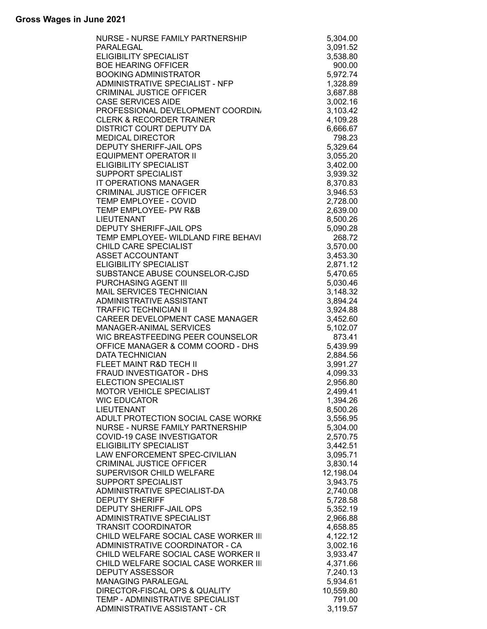| NURSE - NURSE FAMILY PARTNERSHIP     | 5,304.00  |
|--------------------------------------|-----------|
| PARALEGAL                            | 3,091.52  |
| <b>ELIGIBILITY SPECIALIST</b>        | 3,538.80  |
| <b>BOE HEARING OFFICER</b>           | 900.00    |
| <b>BOOKING ADMINISTRATOR</b>         | 5,972.74  |
| ADMINISTRATIVE SPECIALIST - NFP      | 1,328.89  |
| <b>CRIMINAL JUSTICE OFFICER</b>      | 3,687.88  |
| <b>CASE SERVICES AIDE</b>            | 3,002.16  |
| PROFESSIONAL DEVELOPMENT COORDIN.    | 3,103.42  |
| <b>CLERK &amp; RECORDER TRAINER</b>  | 4,109.28  |
| <b>DISTRICT COURT DEPUTY DA</b>      | 6,666.67  |
| <b>MEDICAL DIRECTOR</b>              | 798.23    |
| DEPUTY SHERIFF-JAIL OPS              | 5,329.64  |
| <b>EQUIPMENT OPERATOR II</b>         | 3,055.20  |
| <b>ELIGIBILITY SPECIALIST</b>        | 3,402.00  |
| SUPPORT SPECIALIST                   | 3,939.32  |
| IT OPERATIONS MANAGER                | 8,370.83  |
| <b>CRIMINAL JUSTICE OFFICER</b>      | 3,946.53  |
| TEMP EMPLOYEE - COVID                | 2,728.00  |
| TEMP EMPLOYEE- PW R&B                | 2,639.00  |
| <b>LIEUTENANT</b>                    | 8,500.26  |
| DEPUTY SHERIFF-JAIL OPS              | 5,090.28  |
| TEMP EMPLOYEE- WILDLAND FIRE BEHAVI  | 268.72    |
| <b>CHILD CARE SPECIALIST</b>         | 3,570.00  |
| <b>ASSET ACCOUNTANT</b>              | 3,453.30  |
| <b>ELIGIBILITY SPECIALIST</b>        | 2,871.12  |
| SUBSTANCE ABUSE COUNSELOR-CJSD       | 5,470.65  |
| PURCHASING AGENT III                 | 5,030.46  |
| MAIL SERVICES TECHNICIAN             | 3,148.32  |
| ADMINISTRATIVE ASSISTANT             | 3,894.24  |
| <b>TRAFFIC TECHNICIAN II</b>         | 3,924.88  |
| CAREER DEVELOPMENT CASE MANAGER      | 3,452.60  |
| <b>MANAGER-ANIMAL SERVICES</b>       | 5,102.07  |
| WIC BREASTFEEDING PEER COUNSELOR     | 873.41    |
| OFFICE MANAGER & COMM COORD - DHS    | 5,439.99  |
| <b>DATA TECHNICIAN</b>               | 2,884.56  |
| FLEET MAINT R&D TECH II              | 3,991.27  |
| FRAUD INVESTIGATOR - DHS             | 4,099.33  |
| <b>ELECTION SPECIALIST</b>           | 2,956.80  |
| MOTOR VEHICLE SPECIALIST             | 2,499.41  |
| <b>WIC EDUCATOR</b>                  | 1,394.26  |
| <b>LIEUTENANT</b>                    | 8,500.26  |
| ADULT PROTECTION SOCIAL CASE WORKE   | 3,556.95  |
| NURSE - NURSE FAMILY PARTNERSHIP     | 5,304.00  |
| <b>COVID-19 CASE INVESTIGATOR</b>    | 2,570.75  |
| ELIGIBILITY SPECIALIST               | 3,442.51  |
| LAW ENFORCEMENT SPEC-CIVILIAN        | 3,095.71  |
| <b>CRIMINAL JUSTICE OFFICER</b>      | 3,830.14  |
| SUPERVISOR CHILD WELFARE             | 12,198.04 |
| SUPPORT SPECIALIST                   | 3,943.75  |
| ADMINISTRATIVE SPECIALIST-DA         | 2,740.08  |
| <b>DEPUTY SHERIFF</b>                | 5,728.58  |
| <b>DEPUTY SHERIFF-JAIL OPS</b>       | 5,352.19  |
| ADMINISTRATIVE SPECIALIST            | 2,966.88  |
| <b>TRANSIT COORDINATOR</b>           | 4,658.85  |
| CHILD WELFARE SOCIAL CASE WORKER III | 4,122.12  |
| ADMINISTRATIVE COORDINATOR - CA      | 3,002.16  |
| CHILD WELFARE SOCIAL CASE WORKER II  | 3,933.47  |
| CHILD WELFARE SOCIAL CASE WORKER III | 4,371.66  |
| <b>DEPUTY ASSESSOR</b>               | 7,240.13  |
| <b>MANAGING PARALEGAL</b>            | 5,934.61  |
| DIRECTOR-FISCAL OPS & QUALITY        | 10,559.80 |
| TEMP - ADMINISTRATIVE SPECIALIST     | 791.00    |
| ADMINISTRATIVE ASSISTANT - CR        | 3,119.57  |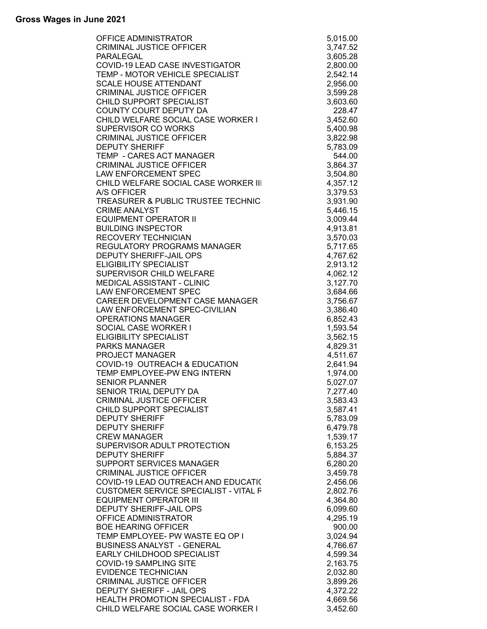| OFFICE ADMINISTRATOR                         | 5,015.00 |
|----------------------------------------------|----------|
| <b>CRIMINAL JUSTICE OFFICER</b>              | 3,747.52 |
| PARALEGAL                                    | 3,605.28 |
| COVID-19 LEAD CASE INVESTIGATOR              | 2,800.00 |
| TEMP - MOTOR VEHICLE SPECIALIST              | 2,542.14 |
| <b>SCALE HOUSE ATTENDANT</b>                 | 2,956.00 |
| <b>CRIMINAL JUSTICE OFFICER</b>              | 3,599.28 |
| CHILD SUPPORT SPECIALIST                     | 3,603.60 |
| COUNTY COURT DEPUTY DA                       | 228.47   |
| CHILD WELFARE SOCIAL CASE WORKER I           | 3,452.60 |
| SUPERVISOR CO WORKS                          | 5,400.98 |
| <b>CRIMINAL JUSTICE OFFICER</b>              | 3,822.98 |
| <b>DEPUTY SHERIFF</b>                        | 5,783.09 |
| TEMP - CARES ACT MANAGER                     | 544.00   |
| <b>CRIMINAL JUSTICE OFFICER</b>              | 3,864.37 |
| LAW ENFORCEMENT SPEC                         | 3,504.80 |
| CHILD WELFARE SOCIAL CASE WORKER III         | 4,357.12 |
| A/S OFFICER                                  | 3,379.53 |
| TREASURER & PUBLIC TRUSTEE TECHNIC           | 3,931.90 |
| <b>CRIME ANALYST</b>                         | 5,446.15 |
| <b>EQUIPMENT OPERATOR II</b>                 | 3,009.44 |
| <b>BUILDING INSPECTOR</b>                    | 4,913.81 |
| <b>RECOVERY TECHNICIAN</b>                   | 3,570.03 |
| <b>REGULATORY PROGRAMS MANAGER</b>           | 5,717.65 |
| <b>DEPUTY SHERIFF-JAIL OPS</b>               | 4,767.62 |
| <b>ELIGIBILITY SPECIALIST</b>                | 2,913.12 |
| SUPERVISOR CHILD WELFARE                     | 4,062.12 |
| MEDICAL ASSISTANT - CLINIC                   | 3,127.70 |
| LAW ENFORCEMENT SPEC                         | 3,684.66 |
| CAREER DEVELOPMENT CASE MANAGER              | 3,756.67 |
| LAW ENFORCEMENT SPEC-CIVILIAN                | 3,386.40 |
| <b>OPERATIONS MANAGER</b>                    | 6,852.43 |
| SOCIAL CASE WORKER I                         | 1,593.54 |
| ELIGIBILITY SPECIALIST                       | 3,562.15 |
| <b>PARKS MANAGER</b>                         | 4,829.31 |
| PROJECT MANAGER                              | 4,511.67 |
| COVID-19 OUTREACH & EDUCATION                | 2,641.94 |
| TEMP EMPLOYEE-PW ENG INTERN                  | 1,974.00 |
| <b>SENIOR PLANNER</b>                        | 5,027.07 |
| SENIOR TRIAL DEPUTY DA                       | 7,277.40 |
| <b>CRIMINAL JUSTICE OFFICER</b>              | 3,583.43 |
| CHILD SUPPORT SPECIALIST                     | 3,587.41 |
| <b>DEPUTY SHERIFF</b>                        | 5,783.09 |
| <b>DEPUTY SHERIFF</b>                        | 6,479.78 |
| <b>CREW MANAGER</b>                          | 1,539.17 |
| SUPERVISOR ADULT PROTECTION                  | 6,153.25 |
| <b>DEPUTY SHERIFF</b>                        | 5,884.37 |
| SUPPORT SERVICES MANAGER                     | 6,280.20 |
| <b>CRIMINAL JUSTICE OFFICER</b>              | 3,459.78 |
| COVID-19 LEAD OUTREACH AND EDUCATI(          | 2,456.06 |
| <b>CUSTOMER SERVICE SPECIALIST - VITAL F</b> | 2,802.76 |
| <b>EQUIPMENT OPERATOR III</b>                | 4,364.80 |
| DEPUTY SHERIFF-JAIL OPS                      | 6,099.60 |
| OFFICE ADMINISTRATOR                         | 4,295.19 |
| <b>BOE HEARING OFFICER</b>                   | 900.00   |
| TEMP EMPLOYEE- PW WASTE EQ OP I              | 3,024.94 |
| <b>BUSINESS ANALYST - GENERAL</b>            | 4,766.67 |
| EARLY CHILDHOOD SPECIALIST                   | 4,599.34 |
| <b>COVID-19 SAMPLING SITE</b>                | 2,163.75 |
| <b>EVIDENCE TECHNICIAN</b>                   | 2,032.80 |
| <b>CRIMINAL JUSTICE OFFICER</b>              | 3,899.26 |
| DEPUTY SHERIFF - JAIL OPS                    | 4,372.22 |
| HEALTH PROMOTION SPECIALIST - FDA            | 4,669.56 |
| CHILD WELFARE SOCIAL CASE WORKER I           | 3,452.60 |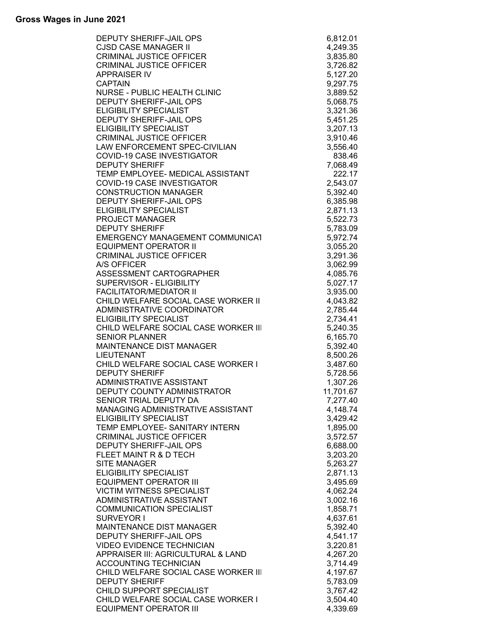| C<br>CONTRIBUTE<br>MANUNICAT<br>MORKER II<br>R<br>VORKER II<br>VORKER II<br>VORKER I<br>DEPUTY SHERIFF-JAIL OPS | 6,812.01             |
|-----------------------------------------------------------------------------------------------------------------|----------------------|
| <b>CJSD CASE MANAGER II</b>                                                                                     | 4,249.35             |
| <b>CRIMINAL JUSTICE OFFICER</b>                                                                                 | 3,835.80             |
| <b>CRIMINAL JUSTICE OFFICER</b>                                                                                 | 3,726.82             |
| <b>APPRAISER IV</b>                                                                                             | 5,127.20             |
| <b>CAPTAIN</b>                                                                                                  | 9,297.75             |
| NURSE - PUBLIC HEALTH CLINIC                                                                                    | 3,889.52             |
| DEPUTY SHERIFF-JAIL OPS                                                                                         | 5,068.75             |
| <b>ELIGIBILITY SPECIALIST</b>                                                                                   | 3,321.36             |
| <b>DEPUTY SHERIFF-JAIL OPS</b>                                                                                  | 5,451.25             |
| <b>ELIGIBILITY SPECIALIST</b>                                                                                   | 3,207.13             |
| <b>CRIMINAL JUSTICE OFFICER</b>                                                                                 | 3,910.46             |
| LAW ENFORCEMENT SPEC-CIVILIAN                                                                                   | 3,556.40             |
| COVID-19 CASE INVESTIGATOR                                                                                      | 838.46               |
| <b>DEPUTY SHERIFF</b>                                                                                           | 7,068.49             |
| TEMP EMPLOYEE- MEDICAL ASSISTANT                                                                                | 222.17               |
| COVID-19 CASE INVESTIGATOR                                                                                      | 2,543.07             |
| <b>CONSTRUCTION MANAGER</b>                                                                                     | 5,392.40             |
| DEPUTY SHERIFF-JAIL OPS<br><b>ELIGIBILITY SPECIALIST</b>                                                        | 6,385.98             |
| <b>PROJECT MANAGER</b>                                                                                          | 2,871.13<br>5,522.73 |
| <b>DEPUTY SHERIFF</b>                                                                                           | 5,783.09             |
| EMERGENCY MANAGEMENT COMMUNICAT                                                                                 | 5,972.74             |
| <b>EQUIPMENT OPERATOR II</b>                                                                                    | 3,055.20             |
| <b>CRIMINAL JUSTICE OFFICER</b>                                                                                 | 3,291.36             |
| A/S OFFICER                                                                                                     | 3,062.99             |
| ASSESSMENT CARTOGRAPHER                                                                                         | 4,085.76             |
| SUPERVISOR - ELIGIBILITY                                                                                        | 5,027.17             |
| <b>FACILITATOR/MEDIATOR II</b>                                                                                  | 3,935.00             |
| CHILD WELFARE SOCIAL CASE WORKER II                                                                             | 4,043.82             |
| ADMINISTRATIVE COORDINATOR                                                                                      | 2,785.44             |
| <b>ELIGIBILITY SPECIALIST</b>                                                                                   | 2,734.41             |
| CHILD WELFARE SOCIAL CASE WORKER III                                                                            | 5,240.35             |
| <b>SENIOR PLANNER</b>                                                                                           | 6,165.70             |
| <b>MAINTENANCE DIST MANAGER</b>                                                                                 | 5,392.40             |
| <b>LIEUTENANT</b>                                                                                               | 8,500.26             |
| CHILD WELFARE SOCIAL CASE WORKER I                                                                              | 3,487.60             |
| <b>DEPUTY SHERIFF</b>                                                                                           | 5,728.56             |
| ADMINISTRATIVE ASSISTANT                                                                                        | 1,307.26             |
| DEPUTY COUNTY ADMINISTRATOR                                                                                     | 11,701.67            |
| SENIOR TRIAL DEPUTY DA                                                                                          | 7,277.40             |
| MANAGING ADMINISTRATIVE ASSISTANT                                                                               | 4,148.74             |
| <b>ELIGIBILITY SPECIALIST</b>                                                                                   | 3,429.42             |
| TEMP EMPLOYEE- SANITARY INTERN                                                                                  | 1,895.00             |
| <b>CRIMINAL JUSTICE OFFICER</b>                                                                                 | 3,572.57             |
| DEPUTY SHERIFF-JAIL OPS                                                                                         | 6,688.00             |
| FLEET MAINT R & D TECH                                                                                          | 3,203.20             |
| <b>SITE MANAGER</b>                                                                                             | 5,263.27             |
| ELIGIBILITY SPECIALIST                                                                                          | 2,871.13             |
| <b>EQUIPMENT OPERATOR III</b>                                                                                   | 3,495.69             |
| <b>VICTIM WITNESS SPECIALIST</b>                                                                                | 4,062.24             |
| ADMINISTRATIVE ASSISTANT                                                                                        | 3,002.16             |
| <b>COMMUNICATION SPECIALIST</b>                                                                                 | 1,858.71             |
| SURVEYOR I                                                                                                      | 4,637.61             |
| <b>MAINTENANCE DIST MANAGER</b>                                                                                 | 5,392.40             |
| DEPUTY SHERIFF-JAIL OPS                                                                                         | 4,541.17             |
| <b>VIDEO EVIDENCE TECHNICIAN</b>                                                                                | 3,220.81             |
| APPRAISER III: AGRICULTURAL & LAND                                                                              | 4,267.20             |
| <b>ACCOUNTING TECHNICIAN</b>                                                                                    | 3,714.49             |
| CHILD WELFARE SOCIAL CASE WORKER III                                                                            | 4,197.67             |
| <b>DEPUTY SHERIFF</b>                                                                                           | 5,783.09             |
| CHILD SUPPORT SPECIALIST                                                                                        | 3,767.42             |
| CHILD WELFARE SOCIAL CASE WORKER I                                                                              | 3,504.40             |
| <b>EQUIPMENT OPERATOR III</b>                                                                                   | 4,339.69             |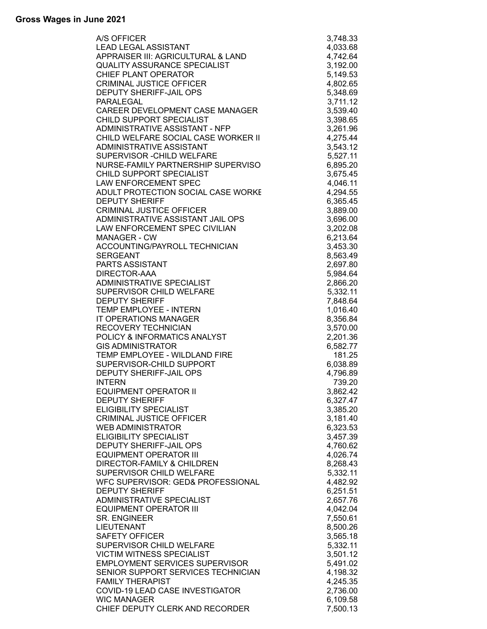| A/S OFFICER                                   | 3,748.33             |
|-----------------------------------------------|----------------------|
| <b>LEAD LEGAL ASSISTANT</b>                   | 4,033.68             |
| APPRAISER III: AGRICULTURAL & LAND            | 4,742.64             |
| <b>QUALITY ASSURANCE SPECIALIST</b>           | 3,192.00             |
| CHIEF PLANT OPERATOR                          | 5,149.53             |
| <b>CRIMINAL JUSTICE OFFICER</b>               | 4,802.65             |
| DEPUTY SHERIFF-JAIL OPS                       | 5,348.69             |
| PARALEGAL                                     | 3,711.12             |
| CAREER DEVELOPMENT CASE MANAGER               | 3,539.40             |
| CHILD SUPPORT SPECIALIST                      | 3,398.65             |
| ADMINISTRATIVE ASSISTANT - NFP                | 3,261.96             |
| CHILD WELFARE SOCIAL CASE WORKER II           | 4,275.44             |
| ADMINISTRATIVE ASSISTANT                      | 3,543.12             |
| SUPERVISOR - CHILD WELFARE                    | 5,527.11             |
| NURSE-FAMILY PARTNERSHIP SUPERVISO            | 6,895.20             |
| CHILD SUPPORT SPECIALIST                      | 3,675.45             |
| <b>LAW ENFORCEMENT SPEC</b>                   | 4,046.11             |
| ADULT PROTECTION SOCIAL CASE WORKE            | 4,294.55             |
| <b>DEPUTY SHERIFF</b>                         | 6,365.45             |
| <b>CRIMINAL JUSTICE OFFICER</b>               | 3,889.00             |
| ADMINISTRATIVE ASSISTANT JAIL OPS             | 3,696.00             |
| LAW ENFORCEMENT SPEC CIVILIAN                 | 3,202.08             |
| <b>MANAGER - CW</b>                           | 6,213.64             |
| <b>ACCOUNTING/PAYROLL TECHNICIAN</b>          | 3,453.30             |
| <b>SERGEANT</b>                               | 8,563.49             |
| PARTS ASSISTANT                               | 2,697.80             |
| DIRECTOR-AAA                                  | 5,984.64             |
| ADMINISTRATIVE SPECIALIST                     | 2,866.20             |
| SUPERVISOR CHILD WELFARE                      | 5,332.11             |
| <b>DEPUTY SHERIFF</b>                         | 7,848.64             |
| TEMP EMPLOYEE - INTERN                        | 1,016.40             |
| IT OPERATIONS MANAGER                         | 8,356.84             |
| <b>RECOVERY TECHNICIAN</b>                    | 3,570.00             |
| POLICY & INFORMATICS ANALYST                  | 2,201.36             |
| <b>GIS ADMINISTRATOR</b>                      | 6,582.77             |
| TEMP EMPLOYEE - WILDLAND FIRE                 | 181.25               |
| SUPERVISOR-CHILD SUPPORT                      | 6,038.89             |
| DEPUTY SHERIFF-JAIL OPS                       | 4,796.89             |
| <b>INTERN</b><br><b>EQUIPMENT OPERATOR II</b> | 739.20               |
| <b>DEPUTY SHERIFF</b>                         | 3,862.42             |
| <b>ELIGIBILITY SPECIALIST</b>                 | 6,327.47<br>3,385.20 |
| <b>CRIMINAL JUSTICE OFFICER</b>               | 3,181.40             |
| <b>WEB ADMINISTRATOR</b>                      | 6,323.53             |
| <b>ELIGIBILITY SPECIALIST</b>                 | 3,457.39             |
| DEPUTY SHERIFF-JAIL OPS                       | 4,760.62             |
| <b>EQUIPMENT OPERATOR III</b>                 | 4,026.74             |
| <b>DIRECTOR-FAMILY &amp; CHILDREN</b>         | 8,268.43             |
| SUPERVISOR CHILD WELFARE                      | 5,332.11             |
| WFC SUPERVISOR: GED& PROFESSIONAL             | 4,482.92             |
| <b>DEPUTY SHERIFF</b>                         | 6,251.51             |
| ADMINISTRATIVE SPECIALIST                     | 2,657.76             |
| <b>EQUIPMENT OPERATOR III</b>                 | 4,042.04             |
| <b>SR. ENGINEER</b>                           | 7,550.61             |
| <b>LIEUTENANT</b>                             | 8,500.26             |
| <b>SAFETY OFFICER</b>                         | 3,565.18             |
| SUPERVISOR CHILD WELFARE                      | 5,332.11             |
| <b>VICTIM WITNESS SPECIALIST</b>              | 3,501.12             |
| <b>EMPLOYMENT SERVICES SUPERVISOR</b>         | 5,491.02             |
| SENIOR SUPPORT SERVICES TECHNICIAN            | 4,198.32             |
| <b>FAMILY THERAPIST</b>                       | 4,245.35             |
| COVID-19 LEAD CASE INVESTIGATOR               | 2,736.00             |
| <b>WIC MANAGER</b>                            | 6,109.58             |
| CHIEF DEPUTY CLERK AND RECORDER               | 7,500.13             |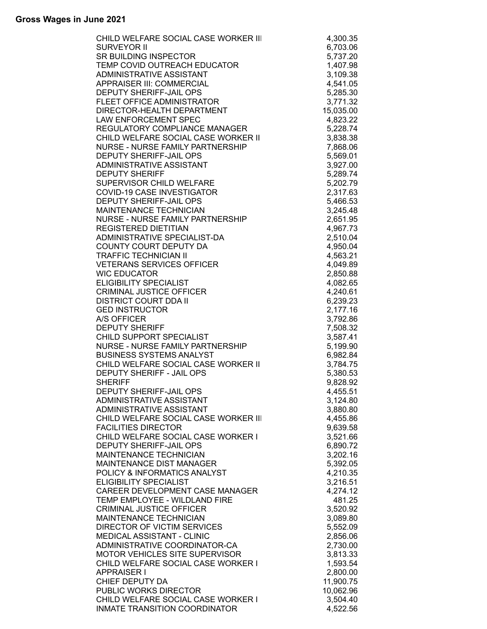| CHILD WELFARE SOCIAL CASE WORKER III | 4,300.35  |
|--------------------------------------|-----------|
| <b>SURVEYOR II</b>                   | 6,703.06  |
| SR BUILDING INSPECTOR                | 5,737.20  |
| TEMP COVID OUTREACH EDUCATOR         | 1,407.98  |
| ADMINISTRATIVE ASSISTANT             | 3,109.38  |
| <b>APPRAISER III: COMMERCIAL</b>     | 4,541.05  |
| <b>DEPUTY SHERIFF-JAIL OPS</b>       | 5,285.30  |
| FLEET OFFICE ADMINISTRATOR           | 3,771.32  |
| DIRECTOR-HEALTH DEPARTMENT           | 15,035.00 |
| <b>LAW ENFORCEMENT SPEC</b>          | 4,823.22  |
|                                      |           |
| REGULATORY COMPLIANCE MANAGER        | 5,228.74  |
| CHILD WELFARE SOCIAL CASE WORKER II  | 3,838.38  |
| NURSE - NURSE FAMILY PARTNERSHIP     | 7,868.06  |
| <b>DEPUTY SHERIFF-JAIL OPS</b>       | 5,569.01  |
| <b>ADMINISTRATIVE ASSISTANT</b>      | 3,927.00  |
| <b>DEPUTY SHERIFF</b>                | 5,289.74  |
| SUPERVISOR CHILD WELFARE             | 5,202.79  |
| <b>COVID-19 CASE INVESTIGATOR</b>    | 2,317.63  |
| <b>DEPUTY SHERIFF-JAIL OPS</b>       | 5,466.53  |
| MAINTENANCE TECHNICIAN               | 3,245.48  |
| NURSE - NURSE FAMILY PARTNERSHIP     | 2,651.95  |
| <b>REGISTERED DIETITIAN</b>          | 4,967.73  |
| ADMINISTRATIVE SPECIALIST-DA         | 2,510.04  |
| <b>COUNTY COURT DEPUTY DA</b>        |           |
|                                      | 4,950.04  |
| <b>TRAFFIC TECHNICIAN II</b>         | 4,563.21  |
| <b>VETERANS SERVICES OFFICER</b>     | 4,049.89  |
| <b>WIC EDUCATOR</b>                  | 2,850.88  |
| <b>ELIGIBILITY SPECIALIST</b>        | 4,082.65  |
| <b>CRIMINAL JUSTICE OFFICER</b>      | 4,240.61  |
| <b>DISTRICT COURT DDA II</b>         | 6,239.23  |
| <b>GED INSTRUCTOR</b>                | 2,177.16  |
| A/S OFFICER                          | 3,792.86  |
| <b>DEPUTY SHERIFF</b>                | 7,508.32  |
| CHILD SUPPORT SPECIALIST             | 3,587.41  |
| NURSE - NURSE FAMILY PARTNERSHIP     | 5,199.90  |
| <b>BUSINESS SYSTEMS ANALYST</b>      | 6,982.84  |
| CHILD WELFARE SOCIAL CASE WORKER II  | 3,784.75  |
| DEPUTY SHERIFF - JAIL OPS            | 5,380.53  |
| <b>SHERIFF</b>                       | 9,828.92  |
| DEPUTY SHERIFF-JAIL OPS              |           |
| ADMINISTRATIVE ASSISTANT             | 4,455.51  |
|                                      | 3,124.80  |
| ADMINISTRATIVE ASSISTANT             | 3,880.80  |
| CHILD WELFARE SOCIAL CASE WORKER III | 4,455.86  |
| <b>FACILITIES DIRECTOR</b>           | 9,639.58  |
| CHILD WELFARE SOCIAL CASE WORKER I   | 3,521.66  |
| DEPUTY SHERIFF-JAIL OPS              | 6,890.72  |
| MAINTENANCE TECHNICIAN               | 3,202.16  |
| <b>MAINTENANCE DIST MANAGER</b>      | 5,392.05  |
| POLICY & INFORMATICS ANALYST         | 4,210.35  |
| ELIGIBILITY SPECIALIST               | 3,216.51  |
| CAREER DEVELOPMENT CASE MANAGER      | 4,274.12  |
| TEMP EMPLOYEE - WILDLAND FIRE        | 481.25    |
| <b>CRIMINAL JUSTICE OFFICER</b>      | 3,520.92  |
| MAINTENANCE TECHNICIAN               | 3,089.80  |
| <b>DIRECTOR OF VICTIM SERVICES</b>   | 5,552.09  |
| MEDICAL ASSISTANT - CLINIC           |           |
|                                      | 2,856.06  |
| ADMINISTRATIVE COORDINATOR-CA        | 2,730.00  |
| MOTOR VEHICLES SITE SUPERVISOR       | 3,813.33  |
| CHILD WELFARE SOCIAL CASE WORKER I   | 1,593.54  |
| <b>APPRAISER I</b>                   | 2,800.00  |
| CHIEF DEPUTY DA                      | 11,900.75 |
| PUBLIC WORKS DIRECTOR                | 10,062.96 |
| CHILD WELFARE SOCIAL CASE WORKER I   | 3,504.40  |
| INMATE TRANSITION COORDINATOR        | 4,522.56  |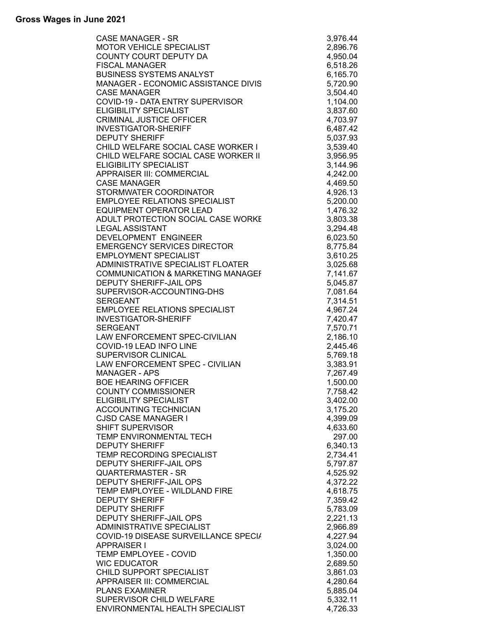| CASE MANAGER<br>MOTOR VEHICLE SPECIALIST<br>MOTOR VEHICLE SPECIALIST<br>COUNTY COURT DEPUTY DA<br>BUSINESS SYSTEMS ANALYST<br>MANAGER<br>CASE MANAGER<br>CASE MANAGER<br>CASE MANAGER<br>COUP -19 - DATA ENTRY SUPERVISOR<br>COUP -19 - DATA ENTRY | 3,976.44             |
|----------------------------------------------------------------------------------------------------------------------------------------------------------------------------------------------------------------------------------------------------|----------------------|
|                                                                                                                                                                                                                                                    | 2,896.76             |
|                                                                                                                                                                                                                                                    | 4,950.04             |
|                                                                                                                                                                                                                                                    | 6,518.26             |
|                                                                                                                                                                                                                                                    | 6,165.70             |
|                                                                                                                                                                                                                                                    | 5,720.90             |
|                                                                                                                                                                                                                                                    | 3,504.40             |
|                                                                                                                                                                                                                                                    | 1,104.00             |
|                                                                                                                                                                                                                                                    | 3,837.60             |
|                                                                                                                                                                                                                                                    | 4,703.97             |
|                                                                                                                                                                                                                                                    | 6,487.42             |
|                                                                                                                                                                                                                                                    | 5,037.93             |
|                                                                                                                                                                                                                                                    | 3,539.40             |
|                                                                                                                                                                                                                                                    |                      |
|                                                                                                                                                                                                                                                    | 3,956.95             |
|                                                                                                                                                                                                                                                    | 3,144.96             |
|                                                                                                                                                                                                                                                    | 4,242.00             |
|                                                                                                                                                                                                                                                    | 4,469.50             |
|                                                                                                                                                                                                                                                    | 4,926.13             |
|                                                                                                                                                                                                                                                    | 5,200.00             |
|                                                                                                                                                                                                                                                    | 1,476.32             |
|                                                                                                                                                                                                                                                    | 3,803.38             |
|                                                                                                                                                                                                                                                    | 3,294.48             |
|                                                                                                                                                                                                                                                    | 6,023.50             |
|                                                                                                                                                                                                                                                    | 8,775.84             |
|                                                                                                                                                                                                                                                    | 3,610.25             |
|                                                                                                                                                                                                                                                    | 3,025.68             |
|                                                                                                                                                                                                                                                    | 7,141.67             |
|                                                                                                                                                                                                                                                    | 5,045.87             |
|                                                                                                                                                                                                                                                    | 7,081.64             |
|                                                                                                                                                                                                                                                    | 7,314.51             |
|                                                                                                                                                                                                                                                    | 4,967.24             |
|                                                                                                                                                                                                                                                    | 7,420.47             |
|                                                                                                                                                                                                                                                    | 7,570.71             |
|                                                                                                                                                                                                                                                    |                      |
|                                                                                                                                                                                                                                                    | 2,186.10             |
|                                                                                                                                                                                                                                                    | 2,445.46             |
|                                                                                                                                                                                                                                                    | 5,769.18             |
|                                                                                                                                                                                                                                                    | 3,383.91             |
|                                                                                                                                                                                                                                                    | 7,267.49             |
|                                                                                                                                                                                                                                                    | 1,500.00             |
| <b>COUNTY COMMISSIONER</b>                                                                                                                                                                                                                         | 7,758.42             |
| <b>ELIGIBILITY SPECIALIST</b>                                                                                                                                                                                                                      | 3,402.00             |
| ACCOUNTING TECHNICIAN                                                                                                                                                                                                                              | 3,175.20             |
| <b>CJSD CASE MANAGER I</b>                                                                                                                                                                                                                         | 4,399.09             |
| <b>SHIFT SUPERVISOR</b>                                                                                                                                                                                                                            | 4,633.60             |
| TEMP ENVIRONMENTAL TECH                                                                                                                                                                                                                            | 297.00               |
| <b>DEPUTY SHERIFF</b>                                                                                                                                                                                                                              | 6,340.13             |
| TEMP RECORDING SPECIALIST                                                                                                                                                                                                                          | 2,734.41             |
| <b>DEPUTY SHERIFF-JAIL OPS</b>                                                                                                                                                                                                                     | 5,797.87             |
| <b>QUARTERMASTER - SR</b>                                                                                                                                                                                                                          | 4,525.92             |
| <b>DEPUTY SHERIFF-JAIL OPS</b>                                                                                                                                                                                                                     | 4,372.22             |
| TEMP EMPLOYEE - WILDLAND FIRE                                                                                                                                                                                                                      | 4,618.75             |
| <b>DEPUTY SHERIFF</b>                                                                                                                                                                                                                              | 7,359.42             |
| <b>DEPUTY SHERIFF</b>                                                                                                                                                                                                                              | 5,783.09             |
| DEPUTY SHERIFF-JAIL OPS                                                                                                                                                                                                                            | 2,221.13             |
| ADMINISTRATIVE SPECIALIST                                                                                                                                                                                                                          |                      |
|                                                                                                                                                                                                                                                    | 2,966.89             |
| COVID-19 DISEASE SURVEILLANCE SPECI/                                                                                                                                                                                                               | 4,227.94             |
| <b>APPRAISER I</b>                                                                                                                                                                                                                                 | 3,024.00             |
| TEMP EMPLOYEE - COVID                                                                                                                                                                                                                              | 1,350.00             |
| <b>WIC EDUCATOR</b>                                                                                                                                                                                                                                | 2,689.50             |
| CHILD SUPPORT SPECIALIST                                                                                                                                                                                                                           | 3,861.03             |
| APPRAISER III: COMMERCIAL                                                                                                                                                                                                                          | 4,280.64             |
| <b>PLANS EXAMINER</b>                                                                                                                                                                                                                              | 5,885.04             |
|                                                                                                                                                                                                                                                    |                      |
| SUPERVISOR CHILD WELFARE<br>ENVIRONMENTAL HEALTH SPECIALIST                                                                                                                                                                                        | 5,332.11<br>4,726.33 |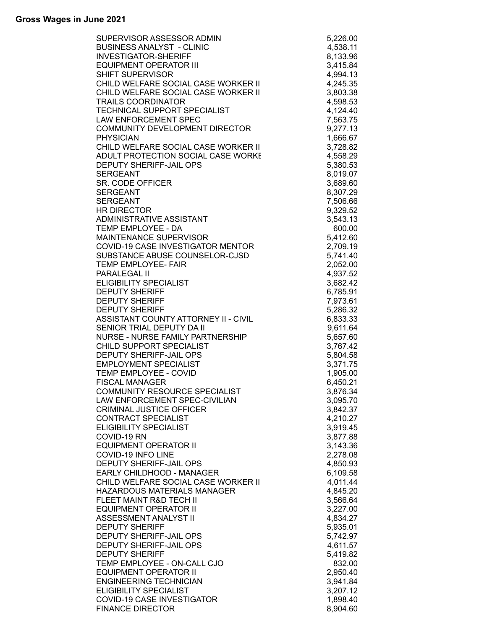| SUPERVISOR ASSESSOR ADMIN            | 5,226.00             |
|--------------------------------------|----------------------|
| <b>BUSINESS ANALYST - CLINIC</b>     | 4,538.11             |
| <b>INVESTIGATOR-SHERIFF</b>          | 8,133.96             |
| <b>EQUIPMENT OPERATOR III</b>        | 3,415.84             |
| <b>SHIFT SUPERVISOR</b>              | 4,994.13             |
| CHILD WELFARE SOCIAL CASE WORKER III | 4,245.35             |
| CHILD WELFARE SOCIAL CASE WORKER II  | 3,803.38             |
| <b>TRAILS COORDINATOR</b>            | 4,598.53             |
| TECHNICAL SUPPORT SPECIALIST         | 4,124.40             |
| <b>LAW ENFORCEMENT SPEC</b>          | 7,563.75             |
| COMMUNITY DEVELOPMENT DIRECTOR       | 9,277.13             |
| <b>PHYSICIAN</b>                     | 1,666.67             |
| CHILD WELFARE SOCIAL CASE WORKER II  | 3,728.82             |
| ADULT PROTECTION SOCIAL CASE WORKE   | 4,558.29             |
| <b>DEPUTY SHERIFF-JAIL OPS</b>       | 5,380.53             |
| <b>SERGEANT</b>                      | 8,019.07             |
| SR. CODE OFFICER                     | 3,689.60             |
| <b>SERGEANT</b><br><b>SERGEANT</b>   | 8,307.29             |
| <b>HR DIRECTOR</b>                   | 7,506.66             |
| ADMINISTRATIVE ASSISTANT             | 9,329.52<br>3,543.13 |
| TEMP EMPLOYEE - DA                   | 600.00               |
| <b>MAINTENANCE SUPERVISOR</b>        | 5,412.60             |
| COVID-19 CASE INVESTIGATOR MENTOR    | 2,709.19             |
| SUBSTANCE ABUSE COUNSELOR-CJSD       | 5,741.40             |
| TEMP EMPLOYEE- FAIR                  | 2,052.00             |
| PARALEGAL II                         | 4,937.52             |
| <b>ELIGIBILITY SPECIALIST</b>        | 3,682.42             |
| <b>DEPUTY SHERIFF</b>                | 6,785.91             |
| <b>DEPUTY SHERIFF</b>                | 7,973.61             |
| <b>DEPUTY SHERIFF</b>                | 5,286.32             |
| ASSISTANT COUNTY ATTORNEY II - CIVIL | 6,833.33             |
| SENIOR TRIAL DEPUTY DA II            | 9,611.64             |
| NURSE - NURSE FAMILY PARTNERSHIP     | 5,657.60             |
| CHILD SUPPORT SPECIALIST             | 3,767.42             |
| DEPUTY SHERIFF-JAIL OPS              | 5,804.58             |
| <b>EMPLOYMENT SPECIALIST</b>         | 3,371.75             |
| TEMP EMPLOYEE - COVID                | 1,905.00             |
| <b>FISCAL MANAGER</b>                | 6,450.21             |
| COMMUNITY RESOURCE SPECIALIST        | 3,876.34             |
| LAW ENFORCEMENT SPEC-CIVILIAN        | 3,095.70             |
| <b>CRIMINAL JUSTICE OFFICER</b>      | 3,842.37             |
| <b>CONTRACT SPECIALIST</b>           | 4,210.27             |
| ELIGIBILITY SPECIALIST               | 3,919.45             |
| COVID-19 RN                          | 3,877.88             |
| <b>EQUIPMENT OPERATOR II</b>         | 3,143.36             |
| COVID-19 INFO LINE                   | 2,278.08             |
| <b>DEPUTY SHERIFF-JAIL OPS</b>       | 4,850.93             |
| EARLY CHILDHOOD - MANAGER            | 6,109.58             |
| CHILD WELFARE SOCIAL CASE WORKER III | 4,011.44             |
| HAZARDOUS MATERIALS MANAGER          | 4,845.20             |
| FLEET MAINT R&D TECH II              | 3,566.64             |
| <b>EQUIPMENT OPERATOR II</b>         | 3,227.00             |
| ASSESSMENT ANALYST II                | 4,834.27             |
| <b>DEPUTY SHERIFF</b>                | 5,935.01             |
| DEPUTY SHERIFF-JAIL OPS              | 5,742.97             |
| DEPUTY SHERIFF-JAIL OPS              | 4,611.57             |
| <b>DEPUTY SHERIFF</b>                | 5,419.82             |
| TEMP EMPLOYEE - ON-CALL CJO          | 832.00               |
| <b>EQUIPMENT OPERATOR II</b>         | 2,950.40             |
| <b>ENGINEERING TECHNICIAN</b>        | 3,941.84             |
| <b>ELIGIBILITY SPECIALIST</b>        | 3,207.12             |
| COVID-19 CASE INVESTIGATOR           | 1,898.40             |
| <b>FINANCE DIRECTOR</b>              | 8,904.60             |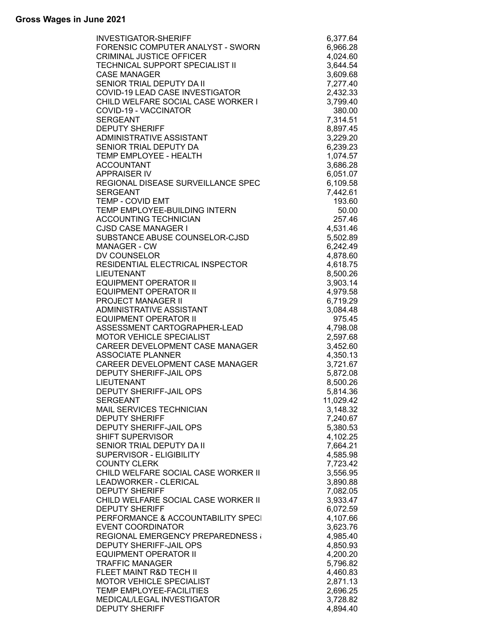| <b>INVESTIGATOR-SHERIFF</b>              | 6,377.64  |
|------------------------------------------|-----------|
| FORENSIC COMPUTER ANALYST - SWORN        | 6,966.28  |
| <b>CRIMINAL JUSTICE OFFICER</b>          | 4,024.60  |
| <b>TECHNICAL SUPPORT SPECIALIST II</b>   | 3,644.54  |
| <b>CASE MANAGER</b>                      | 3,609.68  |
| SENIOR TRIAL DEPUTY DA II                | 7,277.40  |
| COVID-19 LEAD CASE INVESTIGATOR          | 2,432.33  |
| CHILD WELFARE SOCIAL CASE WORKER I       | 3,799.40  |
| COVID-19 - VACCINATOR                    | 380.00    |
| <b>SERGEANT</b>                          | 7,314.51  |
| <b>DEPUTY SHERIFF</b>                    | 8,897.45  |
| ADMINISTRATIVE ASSISTANT                 | 3,229.20  |
| SENIOR TRIAL DEPUTY DA                   | 6,239.23  |
| TEMP EMPLOYEE - HEALTH                   | 1,074.57  |
| <b>ACCOUNTANT</b>                        | 3,686.28  |
| <b>APPRAISER IV</b>                      | 6,051.07  |
| REGIONAL DISEASE SURVEILLANCE SPEC       | 6,109.58  |
| <b>SERGEANT</b>                          | 7,442.61  |
| <b>TEMP - COVID EMT</b>                  | 193.60    |
| TEMP EMPLOYEE-BUILDING INTERN            | 50.00     |
| <b>ACCOUNTING TECHNICIAN</b>             | 257.46    |
| <b>CJSD CASE MANAGER I</b>               | 4,531.46  |
| SUBSTANCE ABUSE COUNSELOR-CJSD           | 5,502.89  |
| <b>MANAGER - CW</b>                      | 6,242.49  |
| DV COUNSELOR                             | 4,878.60  |
| RESIDENTIAL ELECTRICAL INSPECTOR         | 4,618.75  |
| <b>LIEUTENANT</b>                        | 8,500.26  |
| <b>EQUIPMENT OPERATOR II</b>             | 3,903.14  |
| <b>EQUIPMENT OPERATOR II</b>             | 4,979.58  |
| <b>PROJECT MANAGER II</b>                |           |
| ADMINISTRATIVE ASSISTANT                 | 6,719.29  |
|                                          | 3,084.48  |
| <b>EQUIPMENT OPERATOR II</b>             | 975.45    |
| ASSESSMENT CARTOGRAPHER-LEAD             | 4,798.08  |
| MOTOR VEHICLE SPECIALIST                 | 2,597.68  |
| CAREER DEVELOPMENT CASE MANAGER          | 3,452.60  |
| <b>ASSOCIATE PLANNER</b>                 | 4,350.13  |
| CAREER DEVELOPMENT CASE MANAGER          | 3,721.67  |
| DEPUTY SHERIFF-JAIL OPS                  | 5,872.08  |
| <b>LIEUTENANT</b>                        | 8,500.26  |
| DEPUTY SHERIFF-JAIL OPS                  | 5,814.36  |
| <b>SERGEANT</b>                          | 11,029.42 |
| MAIL SERVICES TECHNICIAN                 | 3,148.32  |
| <b>DEPUTY SHERIFF</b>                    | 7,240.67  |
| <b>DEPUTY SHERIFF-JAIL OPS</b>           | 5,380.53  |
| <b>SHIFT SUPERVISOR</b>                  | 4,102.25  |
| SENIOR TRIAL DEPUTY DA II                | 7,664.21  |
| SUPERVISOR - ELIGIBILITY                 | 4,585.98  |
| <b>COUNTY CLERK</b>                      | 7,723.42  |
| CHILD WELFARE SOCIAL CASE WORKER II      | 3,556.95  |
| <b>LEADWORKER - CLERICAL</b>             | 3,890.88  |
| <b>DEPUTY SHERIFF</b>                    | 7,082.05  |
| CHILD WELFARE SOCIAL CASE WORKER II      | 3,933.47  |
| <b>DEPUTY SHERIFF</b>                    | 6,072.59  |
| PERFORMANCE & ACCOUNTABILITY SPECI       | 4,107.66  |
| <b>EVENT COORDINATOR</b>                 | 3,623.76  |
| <b>REGIONAL EMERGENCY PREPAREDNESS (</b> | 4,985.40  |
| <b>DEPUTY SHERIFF-JAIL OPS</b>           | 4,850.93  |
| <b>EQUIPMENT OPERATOR II</b>             | 4,200.20  |
| <b>TRAFFIC MANAGER</b>                   | 5,796.82  |
| FLEET MAINT R&D TECH II                  | 4,460.83  |
| <b>MOTOR VEHICLE SPECIALIST</b>          | 2,871.13  |
| TEMP EMPLOYEE-FACILITIES                 | 2,696.25  |
| MEDICAL/LEGAL INVESTIGATOR               | 3,728.82  |
| <b>DEPUTY SHERIFF</b>                    | 4,894.40  |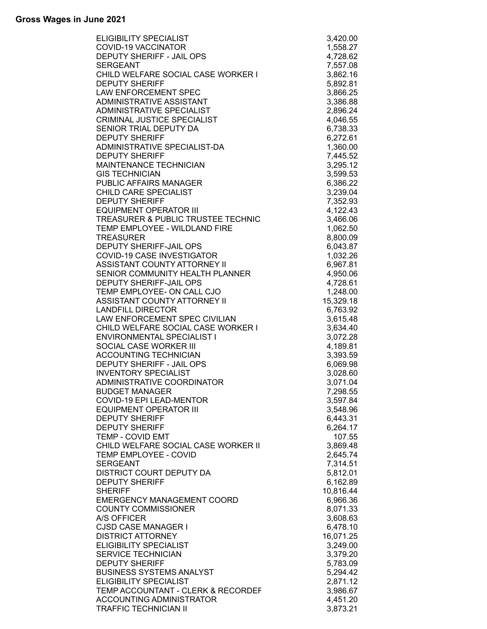| <b>ELIGIBILITY SPECIALIST</b>       | 3,420.00  |
|-------------------------------------|-----------|
| <b>COVID-19 VACCINATOR</b>          | 1,558.27  |
| DEPUTY SHERIFF - JAIL OPS           | 4,728.62  |
| <b>SERGEANT</b>                     | 7,557.08  |
| CHILD WELFARE SOCIAL CASE WORKER I  | 3,862.16  |
| <b>DEPUTY SHERIFF</b>               | 5,892.81  |
| <b>LAW ENFORCEMENT SPEC</b>         | 3,866.25  |
| ADMINISTRATIVE ASSISTANT            | 3,386.88  |
| ADMINISTRATIVE SPECIALIST           | 2,896.24  |
| <b>CRIMINAL JUSTICE SPECIALIST</b>  | 4,046.55  |
| SENIOR TRIAL DEPUTY DA              | 6,738.33  |
| <b>DEPUTY SHERIFF</b>               | 6,272.61  |
| ADMINISTRATIVE SPECIALIST-DA        | 1,360.00  |
| <b>DEPUTY SHERIFF</b>               | 7,445.52  |
| MAINTENANCE TECHNICIAN              | 3,295.12  |
| <b>GIS TECHNICIAN</b>               | 3,599.53  |
| PUBLIC AFFAIRS MANAGER              | 6,386.22  |
| <b>CHILD CARE SPECIALIST</b>        | 3,239.04  |
| <b>DEPUTY SHERIFF</b>               | 7,352.93  |
| <b>EQUIPMENT OPERATOR III</b>       | 4,122.43  |
| TREASURER & PUBLIC TRUSTEE TECHNIC  | 3,466.06  |
| TEMP EMPLOYEE - WILDLAND FIRE       | 1,062.50  |
| <b>TREASURER</b>                    | 8,800.09  |
| <b>DEPUTY SHERIFF-JAIL OPS</b>      | 6,043.87  |
| COVID-19 CASE INVESTIGATOR          | 1,032.26  |
| ASSISTANT COUNTY ATTORNEY II        | 6,967.81  |
| SENIOR COMMUNITY HEALTH PLANNER     | 4,950.06  |
| DEPUTY SHERIFF-JAIL OPS             | 4,728.61  |
| TEMP EMPLOYEE- ON CALL CJO          | 1,248.00  |
| ASSISTANT COUNTY ATTORNEY II        | 15,329.18 |
| <b>LANDFILL DIRECTOR</b>            | 6,763.92  |
| LAW ENFORCEMENT SPEC CIVILIAN       | 3,615.48  |
| CHILD WELFARE SOCIAL CASE WORKER I  | 3,634.40  |
| ENVIRONMENTAL SPECIALIST I          | 3,072.28  |
| SOCIAL CASE WORKER III              | 4,189.81  |
| <b>ACCOUNTING TECHNICIAN</b>        | 3,393.59  |
| DEPUTY SHERIFF - JAIL OPS           | 6,069.98  |
| <b>INVENTORY SPECIALIST</b>         | 3,028.60  |
| ADMINISTRATIVE COORDINATOR          | 3,071.04  |
| <b>BUDGET MANAGER</b>               | 7,298.55  |
| COVID-19 EPI LEAD-MENTOR            | 3,597.84  |
| <b>EQUIPMENT OPERATOR III</b>       | 3,548.96  |
| <b>DEPUTY SHERIFF</b>               | 6,443.31  |
| <b>DEPUTY SHERIFF</b>               | 6,264.17  |
| <b>TEMP - COVID EMT</b>             | 107.55    |
| CHILD WELFARE SOCIAL CASE WORKER II | 3,869.48  |
| TEMP EMPLOYEE - COVID               | 2,645.74  |
| <b>SERGEANT</b>                     | 7,314.51  |
| DISTRICT COURT DEPUTY DA            | 5,812.01  |
| <b>DEPUTY SHERIFF</b>               | 6,162.89  |
| <b>SHERIFF</b>                      | 10,816.44 |
| <b>EMERGENCY MANAGEMENT COORD</b>   | 6,966.36  |
| <b>COUNTY COMMISSIONER</b>          | 8,071.33  |
| A/S OFFICER                         | 3,608.63  |
| <b>CJSD CASE MANAGER I</b>          | 6,478.10  |
| <b>DISTRICT ATTORNEY</b>            | 16,071.25 |
| <b>ELIGIBILITY SPECIALIST</b>       | 3,249.00  |
| <b>SERVICE TECHNICIAN</b>           | 3,379.20  |
| <b>DEPUTY SHERIFF</b>               | 5,783.09  |
| <b>BUSINESS SYSTEMS ANALYST</b>     | 5,294.42  |
| <b>ELIGIBILITY SPECIALIST</b>       | 2,871.12  |
| TEMP ACCOUNTANT - CLERK & RECORDEF  | 3,986.67  |
| <b>ACCOUNTING ADMINISTRATOR</b>     | 4,451.20  |
| <b>TRAFFIC TECHNICIAN II</b>        | 3,873.21  |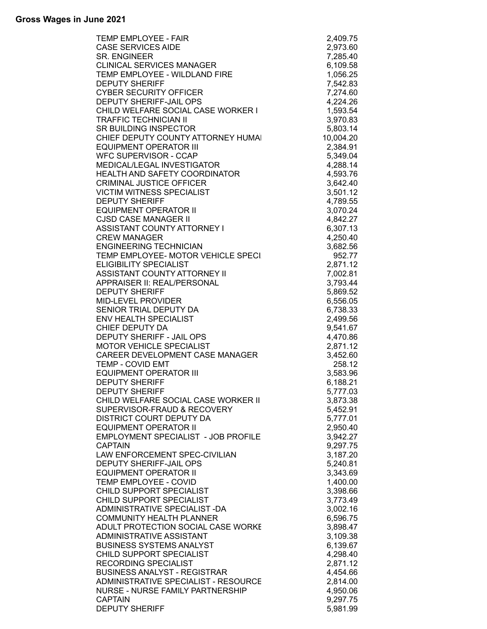| <b>TEMP EMPLOYEE - FAIR</b>          | 2,409.75  |
|--------------------------------------|-----------|
| <b>CASE SERVICES AIDE</b>            | 2,973.60  |
| <b>SR. ENGINEER</b>                  | 7,285.40  |
| <b>CLINICAL SERVICES MANAGER</b>     | 6,109.58  |
| TEMP EMPLOYEE - WILDLAND FIRE        | 1,056.25  |
| <b>DEPUTY SHERIFF</b>                | 7,542.83  |
| <b>CYBER SECURITY OFFICER</b>        | 7,274.60  |
| <b>DEPUTY SHERIFF-JAIL OPS</b>       | 4,224.26  |
| CHILD WELFARE SOCIAL CASE WORKER I   | 1,593.54  |
| <b>TRAFFIC TECHNICIAN II</b>         | 3,970.83  |
| <b>SR BUILDING INSPECTOR</b>         | 5,803.14  |
| CHIEF DEPUTY COUNTY ATTORNEY HUMAL   | 10,004.20 |
| <b>EQUIPMENT OPERATOR III</b>        | 2,384.91  |
| <b>WFC SUPERVISOR - CCAP</b>         | 5,349.04  |
| MEDICAL/LEGAL INVESTIGATOR           | 4,288.14  |
| HEALTH AND SAFETY COORDINATOR        | 4,593.76  |
| <b>CRIMINAL JUSTICE OFFICER</b>      | 3,642.40  |
| <b>VICTIM WITNESS SPECIALIST</b>     | 3,501.12  |
| <b>DEPUTY SHERIFF</b>                |           |
|                                      | 4,789.55  |
| <b>EQUIPMENT OPERATOR II</b>         | 3,070.24  |
| <b>CJSD CASE MANAGER II</b>          | 4,842.27  |
| ASSISTANT COUNTY ATTORNEY I          | 6,307.13  |
| <b>CREW MANAGER</b>                  | 4,250.40  |
| <b>ENGINEERING TECHNICIAN</b>        | 3,682.56  |
| TEMP EMPLOYEE- MOTOR VEHICLE SPECI   | 952.77    |
| <b>ELIGIBILITY SPECIALIST</b>        | 2,871.12  |
| ASSISTANT COUNTY ATTORNEY II         | 7,002.81  |
| APPRAISER II: REAL/PERSONAL          | 3,793.44  |
| <b>DEPUTY SHERIFF</b>                | 5,869.52  |
| MID-LEVEL PROVIDER                   | 6,556.05  |
| SENIOR TRIAL DEPUTY DA               | 6,738.33  |
| <b>ENV HEALTH SPECIALIST</b>         | 2,499.56  |
| CHIEF DEPUTY DA                      | 9,541.67  |
| DEPUTY SHERIFF - JAIL OPS            | 4,470.86  |
| <b>MOTOR VEHICLE SPECIALIST</b>      | 2,871.12  |
| CAREER DEVELOPMENT CASE MANAGER      | 3,452.60  |
| <b>TEMP - COVID EMT</b>              | 258.12    |
| <b>EQUIPMENT OPERATOR III</b>        | 3,583.96  |
| <b>DEPUTY SHERIFF</b>                | 6,188.21  |
| <b>DEPUTY SHERIFF</b>                | 5,777.03  |
| CHILD WELFARE SOCIAL CASE WORKER II  | 3,873.38  |
| SUPERVISOR-FRAUD & RECOVERY          | 5,452.91  |
| <b>DISTRICT COURT DEPUTY DA</b>      | 5,777.01  |
| <b>EQUIPMENT OPERATOR II</b>         | 2,950.40  |
| EMPLOYMENT SPECIALIST - JOB PROFILE  | 3,942.27  |
| <b>CAPTAIN</b>                       |           |
|                                      | 9,297.75  |
| LAW ENFORCEMENT SPEC-CIVILIAN        | 3,187.20  |
| <b>DEPUTY SHERIFF-JAIL OPS</b>       | 5,240.81  |
| <b>EQUIPMENT OPERATOR II</b>         | 3,343.69  |
| TEMP EMPLOYEE - COVID                | 1,400.00  |
| CHILD SUPPORT SPECIALIST             | 3,398.66  |
| CHILD SUPPORT SPECIALIST             | 3,773.49  |
| ADMINISTRATIVE SPECIALIST-DA         | 3,002.16  |
| <b>COMMUNITY HEALTH PLANNER</b>      | 6,596.75  |
| ADULT PROTECTION SOCIAL CASE WORKE   | 3,898.47  |
| ADMINISTRATIVE ASSISTANT             | 3,109.38  |
| <b>BUSINESS SYSTEMS ANALYST</b>      | 6,139.67  |
| CHILD SUPPORT SPECIALIST             | 4,298.40  |
| RECORDING SPECIALIST                 | 2,871.12  |
| <b>BUSINESS ANALYST - REGISTRAR</b>  | 4,454.66  |
| ADMINISTRATIVE SPECIALIST - RESOURCE | 2,814.00  |
| NURSE - NURSE FAMILY PARTNERSHIP     | 4,950.06  |
| <b>CAPTAIN</b>                       | 9,297.75  |
| <b>DEPUTY SHERIFF</b>                | 5,981.99  |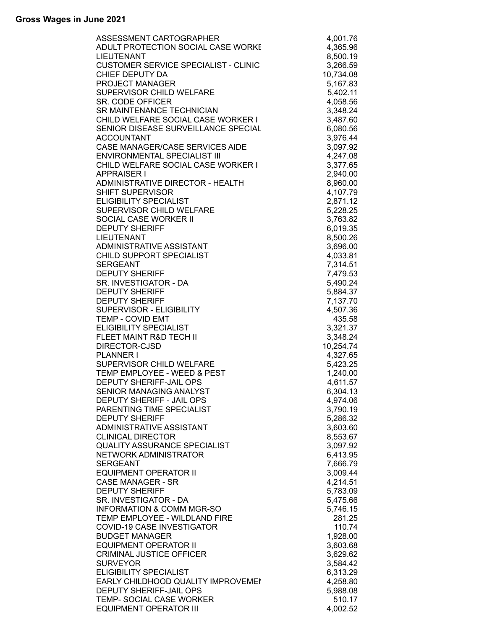| ASSESSMENT CARTOGRAPHER                     | 4,001.76  |
|---------------------------------------------|-----------|
| ADULT PROTECTION SOCIAL CASE WORKE          | 4,365.96  |
| <b>LIEUTENANT</b>                           | 8,500.19  |
| <b>CUSTOMER SERVICE SPECIALIST - CLINIC</b> | 3,266.59  |
| CHIEF DEPUTY DA                             |           |
|                                             | 10,734.08 |
| PROJECT MANAGER                             | 5,167.83  |
| SUPERVISOR CHILD WELFARE                    | 5,402.11  |
| SR. CODE OFFICER                            | 4,058.56  |
| SR MAINTENANCE TECHNICIAN                   | 3,348.24  |
| CHILD WELFARE SOCIAL CASE WORKER I          | 3,487.60  |
| SENIOR DISEASE SURVEILLANCE SPECIAL         |           |
|                                             | 6,080.56  |
| <b>ACCOUNTANT</b>                           | 3,976.44  |
| CASE MANAGER/CASE SERVICES AIDE             | 3,097.92  |
| ENVIRONMENTAL SPECIALIST III                | 4,247.08  |
| CHILD WELFARE SOCIAL CASE WORKER I          | 3,377.65  |
| <b>APPRAISER I</b>                          | 2,940.00  |
| ADMINISTRATIVE DIRECTOR - HEALTH            |           |
|                                             | 8,960.00  |
| <b>SHIFT SUPERVISOR</b>                     | 4,107.79  |
| <b>ELIGIBILITY SPECIALIST</b>               | 2,871.12  |
| SUPERVISOR CHILD WELFARE                    | 5,228.25  |
| SOCIAL CASE WORKER II                       | 3,763.82  |
| <b>DEPUTY SHERIFF</b>                       | 6,019.35  |
|                                             |           |
| <b>LIEUTENANT</b>                           | 8,500.26  |
| ADMINISTRATIVE ASSISTANT                    | 3,696.00  |
| CHILD SUPPORT SPECIALIST                    | 4,033.81  |
| <b>SERGEANT</b>                             | 7,314.51  |
| <b>DEPUTY SHERIFF</b>                       | 7,479.53  |
| SR. INVESTIGATOR - DA                       | 5,490.24  |
| <b>DEPUTY SHERIFF</b>                       | 5,884.37  |
|                                             |           |
| <b>DEPUTY SHERIFF</b>                       | 7,137.70  |
| SUPERVISOR - ELIGIBILITY                    | 4,507.36  |
| <b>TEMP - COVID EMT</b>                     | 435.58    |
| ELIGIBILITY SPECIALIST                      | 3,321.37  |
| FLEET MAINT R&D TECH II                     | 3,348.24  |
| DIRECTOR-CJSD                               | 10,254.74 |
| <b>PLANNER I</b>                            |           |
|                                             | 4,327.65  |
| SUPERVISOR CHILD WELFARE                    | 5,423.25  |
| TEMP EMPLOYEE - WEED & PEST                 | 1,240.00  |
| DEPUTY SHERIFF-JAIL OPS                     | 4,611.57  |
| SENIOR MANAGING ANALYST                     | 6,304.13  |
| DEPUTY SHERIFF - JAIL OPS                   | 4,974.06  |
| PARENTING TIME SPECIALIST                   | 3,790.19  |
|                                             |           |
| <b>DEPUTY SHERIFF</b>                       | 5,286.32  |
| ADMINISTRATIVE ASSISTANT                    | 3,603.60  |
| <b>CLINICAL DIRECTOR</b>                    | 8,553.67  |
| <b>QUALITY ASSURANCE SPECIALIST</b>         | 3,097.92  |
| <b>NETWORK ADMINISTRATOR</b>                | 6,413.95  |
| <b>SERGEANT</b>                             | 7,666.79  |
| <b>EQUIPMENT OPERATOR II</b>                | 3,009.44  |
|                                             |           |
| <b>CASE MANAGER - SR</b>                    | 4,214.51  |
| <b>DEPUTY SHERIFF</b>                       | 5,783.09  |
| SR. INVESTIGATOR - DA                       | 5,475.66  |
| <b>INFORMATION &amp; COMM MGR-SO</b>        | 5,746.15  |
| TEMP EMPLOYEE - WILDLAND FIRE               | 281.25    |
| COVID-19 CASE INVESTIGATOR                  | 110.74    |
| <b>BUDGET MANAGER</b>                       |           |
|                                             | 1,928.00  |
| <b>EQUIPMENT OPERATOR II</b>                | 3,603.68  |
| <b>CRIMINAL JUSTICE OFFICER</b>             | 3,629.62  |
| <b>SURVEYOR</b>                             | 3,584.42  |
| <b>ELIGIBILITY SPECIALIST</b>               | 6,313.29  |
| EARLY CHILDHOOD QUALITY IMPROVEMEN          | 4,258.80  |
| <b>DEPUTY SHERIFF-JAIL OPS</b>              | 5,988.08  |
| TEMP- SOCIAL CASE WORKER                    |           |
|                                             | 510.17    |
| <b>EQUIPMENT OPERATOR III</b>               | 4,002.52  |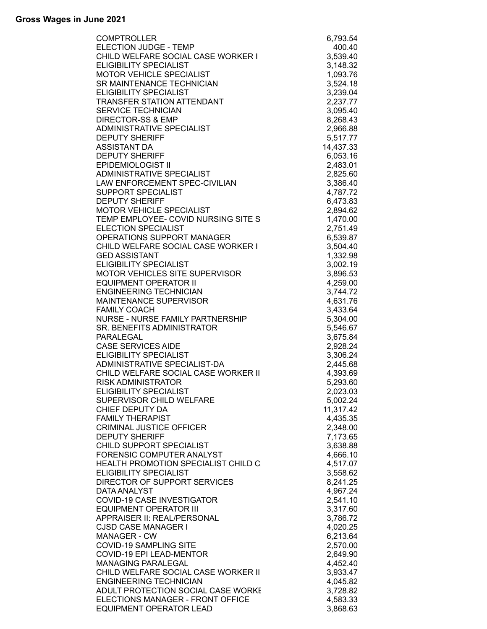| <b>COMPTROLLER</b>                                                    | 6,793.54             |
|-----------------------------------------------------------------------|----------------------|
| ELECTION JUDGE - TEMP                                                 | 400.40               |
| CHILD WELFARE SOCIAL CASE WORKER I                                    | 3,539.40             |
| <b>ELIGIBILITY SPECIALIST</b>                                         | 3,148.32             |
| MOTOR VEHICLE SPECIALIST                                              | 1,093.76             |
| SR MAINTENANCE TECHNICIAN                                             | 3,524.18             |
| <b>ELIGIBILITY SPECIALIST</b>                                         | 3,239.04             |
| TRANSFER STATION ATTENDANT                                            | 2,237.77             |
| <b>SERVICE TECHNICIAN</b>                                             | 3,095.40             |
| <b>DIRECTOR-SS &amp; EMP</b>                                          | 8,268.43             |
| ADMINISTRATIVE SPECIALIST                                             | 2,966.88             |
| <b>DEPUTY SHERIFF</b>                                                 | 5,517.77             |
| <b>ASSISTANT DA</b>                                                   | 14,437.33            |
| <b>DEPUTY SHERIFF</b>                                                 | 6,053.16             |
| <b>EPIDEMIOLOGIST II</b>                                              | 2,483.01             |
| ADMINISTRATIVE SPECIALIST                                             | 2,825.60             |
| LAW ENFORCEMENT SPEC-CIVILIAN                                         | 3,386.40             |
| <b>SUPPORT SPECIALIST</b>                                             | 4,787.72             |
| <b>DEPUTY SHERIFF</b>                                                 | 6,473.83             |
| <b>MOTOR VEHICLE SPECIALIST</b>                                       | 2,894.62             |
| TEMP EMPLOYEE- COVID NURSING SITE S                                   | 1,470.00             |
| <b>ELECTION SPECIALIST</b>                                            | 2,751.49             |
| <b>OPERATIONS SUPPORT MANAGER</b>                                     | 6,539.87             |
| CHILD WELFARE SOCIAL CASE WORKER I                                    | 3,504.40             |
| <b>GED ASSISTANT</b>                                                  | 1,332.98             |
| <b>ELIGIBILITY SPECIALIST</b>                                         | 3,002.19             |
| MOTOR VEHICLES SITE SUPERVISOR                                        | 3,896.53             |
| <b>EQUIPMENT OPERATOR II</b>                                          | 4,259.00             |
| <b>ENGINEERING TECHNICIAN</b>                                         | 3,744.72             |
| MAINTENANCE SUPERVISOR                                                | 4,631.76             |
| <b>FAMILY COACH</b>                                                   | 3,433.64             |
| NURSE - NURSE FAMILY PARTNERSHIP                                      | 5,304.00             |
| SR. BENEFITS ADMINISTRATOR                                            | 5,546.67             |
| PARALEGAL                                                             | 3,675.84             |
| <b>CASE SERVICES AIDE</b>                                             | 2,928.24             |
| <b>ELIGIBILITY SPECIALIST</b>                                         | 3,306.24             |
| ADMINISTRATIVE SPECIALIST-DA                                          | 2,445.68             |
| CHILD WELFARE SOCIAL CASE WORKER II                                   | 4,393.69             |
| <b>RISK ADMINISTRATOR</b>                                             | 5,293.60             |
| <b>ELIGIBILITY SPECIALIST</b>                                         | 2,023.03             |
| SUPERVISOR CHILD WELFARE                                              | 5,002.24             |
| CHIEF DEPUTY DA                                                       | 11,317.42            |
| <b>FAMILY THERAPIST</b>                                               | 4,435.35             |
| <b>CRIMINAL JUSTICE OFFICER</b><br><b>DEPUTY SHERIFF</b>              | 2,348.00             |
| CHILD SUPPORT SPECIALIST                                              | 7,173.65             |
| FORENSIC COMPUTER ANALYST                                             | 3,638.88             |
|                                                                       | 4,666.10             |
| HEALTH PROMOTION SPECIALIST CHILD C.<br><b>ELIGIBILITY SPECIALIST</b> | 4,517.07<br>3,558.62 |
| DIRECTOR OF SUPPORT SERVICES                                          | 8,241.25             |
| DATA ANALYST                                                          | 4,967.24             |
| COVID-19 CASE INVESTIGATOR                                            | 2,541.10             |
| <b>EQUIPMENT OPERATOR III</b>                                         | 3,317.60             |
| APPRAISER II: REAL/PERSONAL                                           | 3,786.72             |
| <b>CJSD CASE MANAGER I</b>                                            | 4,020.25             |
| MANAGER - CW                                                          | 6,213.64             |
| <b>COVID-19 SAMPLING SITE</b>                                         | 2,570.00             |
| COVID-19 EPI LEAD-MENTOR                                              | 2,649.90             |
| <b>MANAGING PARALEGAL</b>                                             | 4,452.40             |
| CHILD WELFARE SOCIAL CASE WORKER II                                   | 3,933.47             |
| <b>ENGINEERING TECHNICIAN</b>                                         | 4,045.82             |
| ADULT PROTECTION SOCIAL CASE WORKE                                    | 3,728.82             |
| ELECTIONS MANAGER - FRONT OFFICE                                      | 4,583.33             |
| <b>EQUIPMENT OPERATOR LEAD</b>                                        | 3,868.63             |